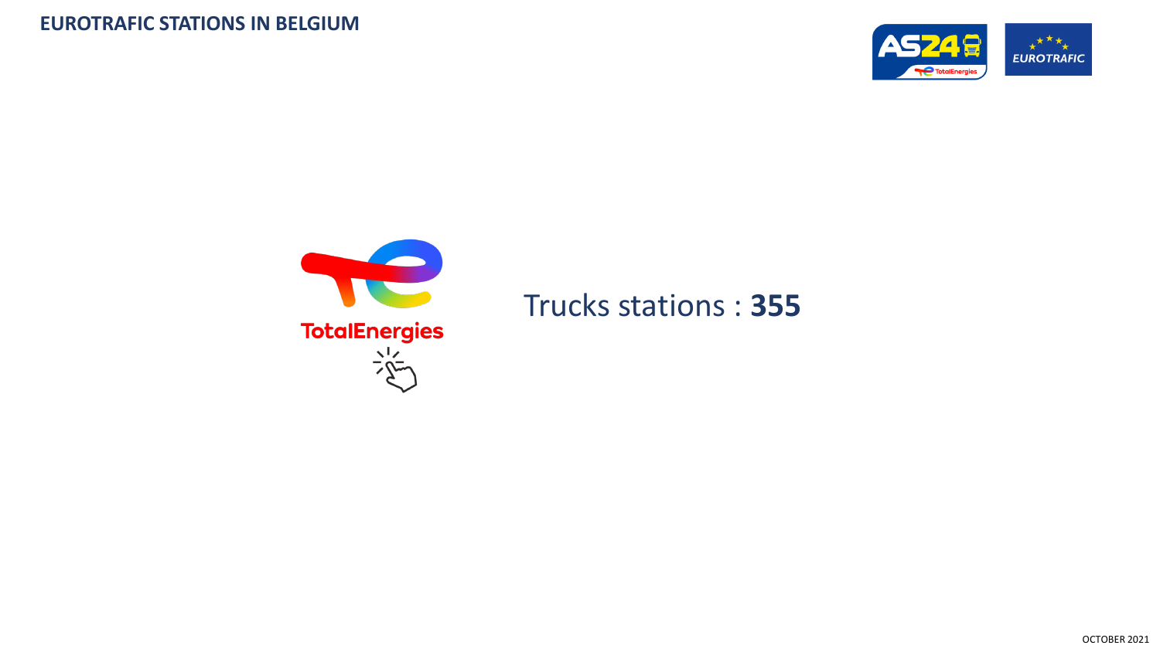



## Trucks stations : **355**

OCTOBER 2021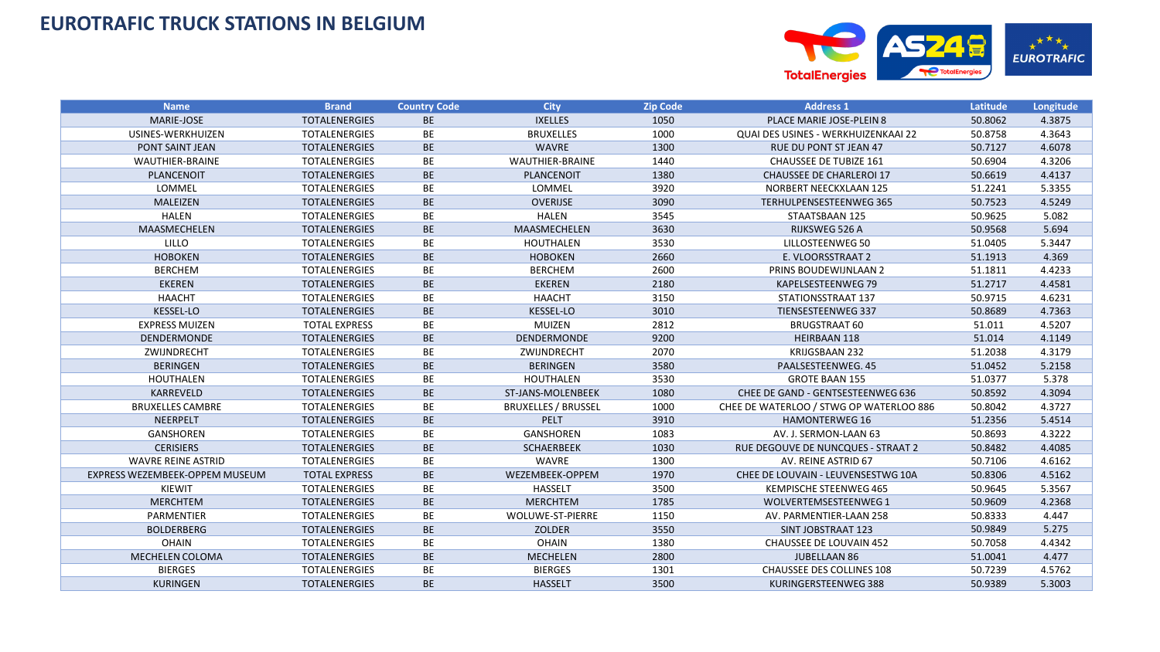

| <b>Name</b>                           | <b>Brand</b>         | <b>Country Code</b> | <b>City</b>                | <b>Zip Code</b> | <b>Address 1</b>                        | Latitude | Longitude |
|---------------------------------------|----------------------|---------------------|----------------------------|-----------------|-----------------------------------------|----------|-----------|
| MARIE-JOSE                            | <b>TOTALENERGIES</b> | <b>BE</b>           | <b>IXELLES</b>             | 1050            | PLACE MARIE JOSE-PLEIN 8                | 50.8062  | 4.3875    |
| USINES-WERKHUIZEN                     | <b>TOTALENERGIES</b> | <b>BE</b>           | <b>BRUXELLES</b>           | 1000            | QUAI DES USINES - WERKHUIZENKAAI 22     | 50.8758  | 4.3643    |
| PONT SAINT JEAN                       | <b>TOTALENERGIES</b> | BE                  | <b>WAVRE</b>               | 1300            | <b>RUE DU PONT ST JEAN 47</b>           | 50.7127  | 4.6078    |
| WAUTHIER-BRAINE                       | <b>TOTALENERGIES</b> | BE                  | WAUTHIER-BRAINE            | 1440            | CHAUSSEE DE TUBIZE 161                  | 50.6904  | 4.3206    |
| PLANCENOIT                            | <b>TOTALENERGIES</b> | <b>BE</b>           | PLANCENOIT                 | 1380            | <b>CHAUSSEE DE CHARLEROI 17</b>         | 50.6619  | 4.4137    |
| LOMMEL                                | <b>TOTALENERGIES</b> | BE                  | LOMMEL                     | 3920            | <b>NORBERT NEECKXLAAN 125</b>           | 51.2241  | 5.3355    |
| <b>MALEIZEN</b>                       | <b>TOTALENERGIES</b> | <b>BE</b>           | <b>OVERIJSE</b>            | 3090            | <b>TERHULPENSESTEENWEG 365</b>          | 50.7523  | 4.5249    |
| <b>HALEN</b>                          | <b>TOTALENERGIES</b> | BE                  | <b>HALEN</b>               | 3545            | STAATSBAAN 125                          | 50.9625  | 5.082     |
| MAASMECHELEN                          | <b>TOTALENERGIES</b> | BE                  | MAASMECHELEN               | 3630            | RIJKSWEG 526 A                          | 50.9568  | 5.694     |
| LILLO                                 | <b>TOTALENERGIES</b> | BE                  | <b>HOUTHALEN</b>           | 3530            | LILLOSTEENWEG 50                        | 51.0405  | 5.3447    |
| <b>HOBOKEN</b>                        | <b>TOTALENERGIES</b> | BE                  | <b>HOBOKEN</b>             | 2660            | E. VLOORSSTRAAT 2                       | 51.1913  | 4.369     |
| <b>BERCHEM</b>                        | <b>TOTALENERGIES</b> | BE                  | <b>BERCHEM</b>             | 2600            | PRINS BOUDEWIJNLAAN 2                   | 51.1811  | 4.4233    |
| <b>EKEREN</b>                         | <b>TOTALENERGIES</b> | <b>BE</b>           | <b>EKEREN</b>              | 2180            | KAPELSESTEENWEG 79                      | 51.2717  | 4.4581    |
| <b>HAACHT</b>                         | <b>TOTALENERGIES</b> | BE                  | <b>HAACHT</b>              | 3150            | STATIONSSTRAAT 137                      | 50.9715  | 4.6231    |
| <b>KESSEL-LO</b>                      | <b>TOTALENERGIES</b> | <b>BE</b>           | <b>KESSEL-LO</b>           | 3010            | TIENSESTEENWEG 337                      | 50.8689  | 4.7363    |
| <b>EXPRESS MUIZEN</b>                 | <b>TOTAL EXPRESS</b> | BE                  | MUIZEN                     | 2812            | <b>BRUGSTRAAT 60</b>                    | 51.011   | 4.5207    |
| DENDERMONDE                           | <b>TOTALENERGIES</b> | <b>BE</b>           | DENDERMONDE                | 9200            | <b>HEIRBAAN 118</b>                     | 51.014   | 4.1149    |
| ZWIJNDRECHT                           | <b>TOTALENERGIES</b> | BE                  | ZWIJNDRECHT                | 2070            | <b>KRIJGSBAAN 232</b>                   | 51.2038  | 4.3179    |
| <b>BERINGEN</b>                       | <b>TOTALENERGIES</b> | BE                  | <b>BERINGEN</b>            | 3580            | PAALSESTEENWEG. 45                      | 51.0452  | 5.2158    |
| HOUTHALEN                             | <b>TOTALENERGIES</b> | BE                  | HOUTHALEN                  | 3530            | <b>GROTE BAAN 155</b>                   | 51.0377  | 5.378     |
| KARREVELD                             | <b>TOTALENERGIES</b> | BE                  | ST-JANS-MOLENBEEK          | 1080            | CHEE DE GAND - GENTSESTEENWEG 636       | 50.8592  | 4.3094    |
| <b>BRUXELLES CAMBRE</b>               | <b>TOTALENERGIES</b> | BE                  | <b>BRUXELLES / BRUSSEL</b> | 1000            | CHEE DE WATERLOO / STWG OP WATERLOO 886 | 50.8042  | 4.3727    |
| NEERPELT                              | <b>TOTALENERGIES</b> | BE                  | PELT                       | 3910            | <b>HAMONTERWEG 16</b>                   | 51.2356  | 5.4514    |
| <b>GANSHOREN</b>                      | <b>TOTALENERGIES</b> | BE                  | <b>GANSHOREN</b>           | 1083            | AV. J. SERMON-LAAN 63                   | 50.8693  | 4.3222    |
| <b>CERISIERS</b>                      | <b>TOTALENERGIES</b> | BE                  | <b>SCHAERBEEK</b>          | 1030            | RUE DEGOUVE DE NUNCQUES - STRAAT 2      | 50.8482  | 4.4085    |
| <b>WAVRE REINE ASTRID</b>             | <b>TOTALENERGIES</b> | BE                  | WAVRE                      | 1300            | AV. REINE ASTRID 67                     | 50.7106  | 4.6162    |
| <b>EXPRESS WEZEMBEEK-OPPEM MUSEUM</b> | <b>TOTAL EXPRESS</b> | <b>BE</b>           | WEZEMBEEK-OPPEM            | 1970            | CHEE DE LOUVAIN - LEUVENSESTWG 10A      | 50.8306  | 4.5162    |
| KIEWIT                                | <b>TOTALENERGIES</b> | BE                  | <b>HASSELT</b>             | 3500            | KEMPISCHE STEENWEG 465                  | 50.9645  | 5.3567    |
| <b>MERCHTEM</b>                       | <b>TOTALENERGIES</b> | <b>BE</b>           | <b>MERCHTEM</b>            | 1785            | <b>WOLVERTEMSESTEENWEG 1</b>            | 50.9609  | 4.2368    |
| PARMENTIER                            | <b>TOTALENERGIES</b> | BE                  | WOLUWE-ST-PIERRE           | 1150            | AV. PARMENTIER-LAAN 258                 | 50.8333  | 4.447     |
| <b>BOLDERBERG</b>                     | <b>TOTALENERGIES</b> | BE                  | ZOLDER                     | 3550            | SINT JOBSTRAAT 123                      | 50.9849  | 5.275     |
| <b>OHAIN</b>                          | <b>TOTALENERGIES</b> | BE                  | <b>OHAIN</b>               | 1380            | <b>CHAUSSEE DE LOUVAIN 452</b>          | 50.7058  | 4.4342    |
| MECHELEN COLOMA                       | <b>TOTALENERGIES</b> | <b>BE</b>           | <b>MECHELEN</b>            | 2800            | <b>JUBELLAAN 86</b>                     | 51.0041  | 4.477     |
| <b>BIERGES</b>                        | <b>TOTALENERGIES</b> | BE                  | <b>BIERGES</b>             | 1301            | <b>CHAUSSEE DES COLLINES 108</b>        | 50.7239  | 4.5762    |
| <b>KURINGEN</b>                       | <b>TOTALENERGIES</b> | BE                  | <b>HASSELT</b>             | 3500            | KURINGERSTEENWEG 388                    | 50.9389  | 5.3003    |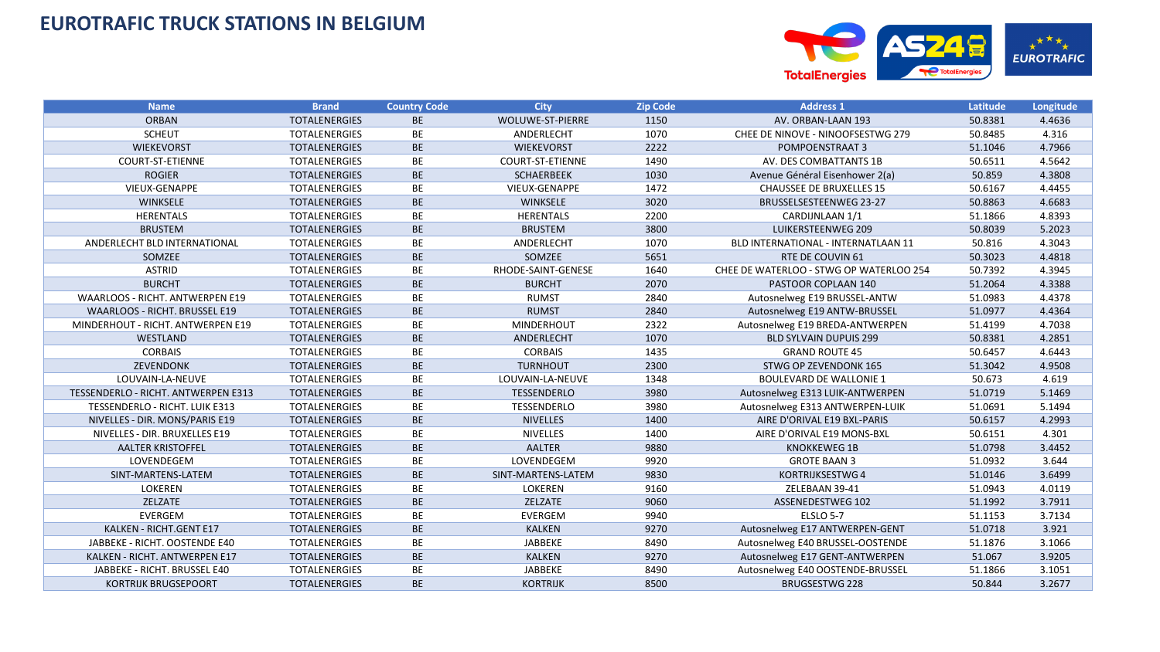

| <b>Name</b>                          | <b>Brand</b>         | <b>Country Code</b> | <b>City</b>          | <b>Zip Code</b> | <b>Address 1</b>                           | Latitude | Longitude |
|--------------------------------------|----------------------|---------------------|----------------------|-----------------|--------------------------------------------|----------|-----------|
| <b>ORBAN</b>                         | <b>TOTALENERGIES</b> | <b>BE</b>           | WOLUWE-ST-PIERRE     | 1150            | AV. ORBAN-LAAN 193                         | 50.8381  | 4.4636    |
| <b>SCHEUT</b>                        | <b>TOTALENERGIES</b> | BE                  | ANDERLECHT           | 1070            | CHEE DE NINOVE - NINOOFSESTWG 279          | 50.8485  | 4.316     |
| <b>WIEKEVORST</b>                    | <b>TOTALENERGIES</b> | BE                  | <b>WIEKEVORST</b>    | 2222            | POMPOENSTRAAT 3                            | 51.1046  | 4.7966    |
| COURT-ST-ETIENNE                     | <b>TOTALENERGIES</b> | BE                  | COURT-ST-ETIENNE     | 1490            | AV. DES COMBATTANTS 1B                     | 50.6511  | 4.5642    |
| <b>ROGIER</b>                        | <b>TOTALENERGIES</b> | <b>BE</b>           | <b>SCHAERBEEK</b>    | 1030            | Avenue Général Eisenhower 2(a)             | 50.859   | 4.3808    |
| VIEUX-GENAPPE                        | <b>TOTALENERGIES</b> | BE                  | <b>VIEUX-GENAPPE</b> | 1472            | <b>CHAUSSEE DE BRUXELLES 15</b>            | 50.6167  | 4.4455    |
| <b>WINKSELE</b>                      | <b>TOTALENERGIES</b> | BE                  | <b>WINKSELE</b>      | 3020            | BRUSSELSESTEENWEG 23-27                    | 50.8863  | 4.6683    |
| HERENTALS                            | <b>TOTALENERGIES</b> | BE                  | <b>HERENTALS</b>     | 2200            | CARDIJNLAAN 1/1                            | 51.1866  | 4.8393    |
| <b>BRUSTEM</b>                       | <b>TOTALENERGIES</b> | BE                  | <b>BRUSTEM</b>       | 3800            | LUIKERSTEENWEG 209                         | 50.8039  | 5.2023    |
| ANDERLECHT BLD INTERNATIONAL         | <b>TOTALENERGIES</b> | BE                  | ANDERLECHT           | 1070            | <b>BLD INTERNATIONAL - INTERNATLAAN 11</b> | 50.816   | 4.3043    |
| SOMZEE                               | <b>TOTALENERGIES</b> | BE                  | SOMZEE               | 5651            | RTE DE COUVIN 61                           | 50.3023  | 4.4818    |
| <b>ASTRID</b>                        | <b>TOTALENERGIES</b> | BE                  | RHODE-SAINT-GENESE   | 1640            | CHEE DE WATERLOO - STWG OP WATERLOO 254    | 50.7392  | 4.3945    |
| <b>BURCHT</b>                        | <b>TOTALENERGIES</b> | BE                  | <b>BURCHT</b>        | 2070            | PASTOOR COPLAAN 140                        | 51.2064  | 4.3388    |
| WAARLOOS - RICHT. ANTWERPEN E19      | <b>TOTALENERGIES</b> | BE                  | <b>RUMST</b>         | 2840            | Autosnelweg E19 BRUSSEL-ANTW               | 51.0983  | 4.4378    |
| <b>WAARLOOS - RICHT. BRUSSEL E19</b> | <b>TOTALENERGIES</b> | BE                  | <b>RUMST</b>         | 2840            | Autosnelweg E19 ANTW-BRUSSEL               | 51.0977  | 4.4364    |
| MINDERHOUT - RICHT, ANTWERPEN E19    | <b>TOTALENERGIES</b> | BE                  | <b>MINDERHOUT</b>    | 2322            | Autosnelweg E19 BREDA-ANTWERPEN            | 51.4199  | 4.7038    |
| WESTLAND                             | <b>TOTALENERGIES</b> | <b>BE</b>           | ANDERLECHT           | 1070            | <b>BLD SYLVAIN DUPUIS 299</b>              | 50.8381  | 4.2851    |
| <b>CORBAIS</b>                       | <b>TOTALENERGIES</b> | BE                  | <b>CORBAIS</b>       | 1435            | <b>GRAND ROUTE 45</b>                      | 50.6457  | 4.6443    |
| ZEVENDONK                            | <b>TOTALENERGIES</b> | BE                  | <b>TURNHOUT</b>      | 2300            | <b>STWG OP ZEVENDONK 165</b>               | 51.3042  | 4.9508    |
| LOUVAIN-LA-NEUVE                     | <b>TOTALENERGIES</b> | BE                  | LOUVAIN-LA-NEUVE     | 1348            | <b>BOULEVARD DE WALLONIE 1</b>             | 50.673   | 4.619     |
| TESSENDERLO - RICHT. ANTWERPEN E313  | <b>TOTALENERGIES</b> | BE                  | TESSENDERLO          | 3980            | Autosnelweg E313 LUIK-ANTWERPEN            | 51.0719  | 5.1469    |
| TESSENDERLO - RICHT. LUIK E313       | <b>TOTALENERGIES</b> | BE                  | TESSENDERLO          | 3980            | Autosnelweg E313 ANTWERPEN-LUIK            | 51.0691  | 5.1494    |
| NIVELLES - DIR. MONS/PARIS E19       | <b>TOTALENERGIES</b> | BE                  | <b>NIVELLES</b>      | 1400            | AIRE D'ORIVAL E19 BXL-PARIS                | 50.6157  | 4.2993    |
| NIVELLES - DIR. BRUXELLES E19        | <b>TOTALENERGIES</b> | BE                  | <b>NIVELLES</b>      | 1400            | AIRE D'ORIVAL E19 MONS-BXL                 | 50.6151  | 4.301     |
| <b>AALTER KRISTOFFEL</b>             | <b>TOTALENERGIES</b> | BE                  | AALTER               | 9880            | <b>KNOKKEWEG 1B</b>                        | 51.0798  | 3.4452    |
| LOVENDEGEM                           | <b>TOTALENERGIES</b> | BE                  | LOVENDEGEM           | 9920            | <b>GROTE BAAN 3</b>                        | 51.0932  | 3.644     |
| SINT-MARTENS-LATEM                   | <b>TOTALENERGIES</b> | <b>BE</b>           | SINT-MARTENS-LATEM   | 9830            | <b>KORTRIJKSESTWG4</b>                     | 51.0146  | 3.6499    |
| LOKEREN                              | <b>TOTALENERGIES</b> | BE                  | LOKEREN              | 9160            | ZELEBAAN 39-41                             | 51.0943  | 4.0119    |
| ZELZATE                              | <b>TOTALENERGIES</b> | BE                  | ZELZATE              | 9060            | ASSENEDESTWEG 102                          | 51.1992  | 3.7911    |
| <b>EVERGEM</b>                       | TOTALENERGIES        | BE                  | <b>EVERGEM</b>       | 9940            | <b>ELSLO 5-7</b>                           | 51.1153  | 3.7134    |
| KALKEN - RICHT.GENT E17              | <b>TOTALENERGIES</b> | BE                  | <b>KALKEN</b>        | 9270            | Autosnelweg E17 ANTWERPEN-GENT             | 51.0718  | 3.921     |
| JABBEKE - RICHT. OOSTENDE E40        | <b>TOTALENERGIES</b> | BE                  | JABBEKE              | 8490            | Autosnelweg E40 BRUSSEL-OOSTENDE           | 51.1876  | 3.1066    |
| KALKEN - RICHT. ANTWERPEN E17        | <b>TOTALENERGIES</b> | BE                  | <b>KALKEN</b>        | 9270            | Autosnelweg E17 GENT-ANTWERPEN             | 51.067   | 3.9205    |
| JABBEKE - RICHT. BRUSSEL E40         | <b>TOTALENERGIES</b> | BE                  | <b>JABBEKE</b>       | 8490            | Autosnelweg E40 OOSTENDE-BRUSSEL           | 51.1866  | 3.1051    |
| KORTRIJK BRUGSEPOORT                 | <b>TOTALENERGIES</b> | BE                  | <b>KORTRIJK</b>      | 8500            | <b>BRUGSESTWG 228</b>                      | 50.844   | 3.2677    |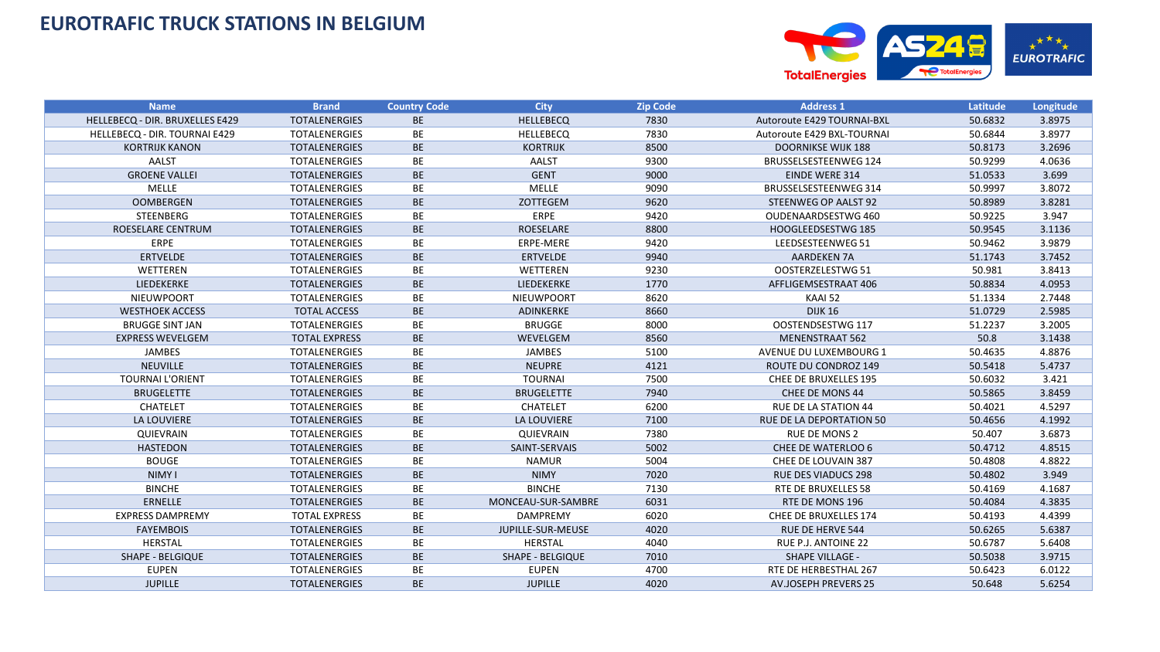

| <b>Name</b>                     | <b>Brand</b>         | <b>Country Code</b> | <b>City</b>             | <b>Zip Code</b> | <b>Address 1</b>              | Latitude | Longitude |
|---------------------------------|----------------------|---------------------|-------------------------|-----------------|-------------------------------|----------|-----------|
| HELLEBECQ - DIR. BRUXELLES E429 | <b>TOTALENERGIES</b> | <b>BE</b>           | HELLEBECQ               | 7830            | Autoroute E429 TOURNAI-BXL    | 50.6832  | 3.8975    |
| HELLEBECQ - DIR. TOURNAI E429   | <b>TOTALENERGIES</b> | <b>BE</b>           | HELLEBECQ               | 7830            | Autoroute E429 BXL-TOURNAI    | 50.6844  | 3.8977    |
| <b>KORTRIJK KANON</b>           | <b>TOTALENERGIES</b> | BE                  | <b>KORTRIJK</b>         | 8500            | <b>DOORNIKSE WIJK 188</b>     | 50.8173  | 3.2696    |
| AALST                           | <b>TOTALENERGIES</b> | BE                  | <b>AALST</b>            | 9300            | <b>BRUSSELSESTEENWEG 124</b>  | 50.9299  | 4.0636    |
| <b>GROENE VALLEI</b>            | <b>TOTALENERGIES</b> | <b>BE</b>           | <b>GENT</b>             | 9000            | <b>EINDE WERE 314</b>         | 51.0533  | 3.699     |
| <b>MELLE</b>                    | <b>TOTALENERGIES</b> | BE                  | <b>MELLE</b>            | 9090            | BRUSSELSESTEENWEG 314         | 50.9997  | 3.8072    |
| <b>OOMBERGEN</b>                | <b>TOTALENERGIES</b> | BE                  | ZOTTEGEM                | 9620            | STEENWEG OP AALST 92          | 50.8989  | 3.8281    |
| STEENBERG                       | <b>TOTALENERGIES</b> | BE                  | <b>ERPE</b>             | 9420            | OUDENAARDSESTWG 460           | 50.9225  | 3.947     |
| <b>ROESELARE CENTRUM</b>        | <b>TOTALENERGIES</b> | <b>BE</b>           | ROESELARE               | 8800            | HOOGLEEDSESTWG 185            | 50.9545  | 3.1136    |
| <b>ERPE</b>                     | <b>TOTALENERGIES</b> | BE                  | ERPE-MERE               | 9420            | LEEDSESTEENWEG 51             | 50.9462  | 3.9879    |
| <b>ERTVELDE</b>                 | <b>TOTALENERGIES</b> | <b>BE</b>           | <b>ERTVELDE</b>         | 9940            | <b>AARDEKEN 7A</b>            | 51.1743  | 3.7452    |
| WETTEREN                        | <b>TOTALENERGIES</b> | BE                  | WETTEREN                | 9230            | OOSTERZELESTWG 51             | 50.981   | 3.8413    |
| LIEDEKERKE                      | <b>TOTALENERGIES</b> | <b>BE</b>           | LIEDEKERKE              | 1770            | AFFLIGEMSESTRAAT 406          | 50.8834  | 4.0953    |
| NIEUWPOORT                      | <b>TOTALENERGIES</b> | BE                  | NIEUWPOORT              | 8620            | KAAI 52                       | 51.1334  | 2.7448    |
| <b>WESTHOEK ACCESS</b>          | <b>TOTAL ACCESS</b>  | <b>BE</b>           | ADINKERKE               | 8660            | <b>DIJK 16</b>                | 51.0729  | 2.5985    |
| <b>BRUGGE SINT JAN</b>          | <b>TOTALENERGIES</b> | BE                  | <b>BRUGGE</b>           | 8000            | OOSTENDSESTWG 117             | 51.2237  | 3.2005    |
| <b>EXPRESS WEVELGEM</b>         | <b>TOTAL EXPRESS</b> | BE                  | WEVELGEM                | 8560            | <b>MENENSTRAAT 562</b>        | 50.8     | 3.1438    |
| <b>JAMBES</b>                   | <b>TOTALENERGIES</b> | BE                  | <b>JAMBES</b>           | 5100            | <b>AVENUE DU LUXEMBOURG 1</b> | 50.4635  | 4.8876    |
| <b>NEUVILLE</b>                 | <b>TOTALENERGIES</b> | BE                  | <b>NEUPRE</b>           | 4121            | ROUTE DU CONDROZ 149          | 50.5418  | 5.4737    |
| <b>TOURNAI L'ORIENT</b>         | <b>TOTALENERGIES</b> | BE                  | <b>TOURNAI</b>          | 7500            | <b>CHEE DE BRUXELLES 195</b>  | 50.6032  | 3.421     |
| <b>BRUGELETTE</b>               | <b>TOTALENERGIES</b> | BE                  | <b>BRUGELETTE</b>       | 7940            | CHEE DE MONS 44               | 50.5865  | 3.8459    |
| CHATELET                        | <b>TOTALENERGIES</b> | BE                  | CHATELET                | 6200            | <b>RUE DE LA STATION 44</b>   | 50.4021  | 4.5297    |
| LA LOUVIERE                     | <b>TOTALENERGIES</b> | BE                  | <b>LA LOUVIERE</b>      | 7100            | RUE DE LA DEPORTATION 50      | 50.4656  | 4.1992    |
| QUIEVRAIN                       | <b>TOTALENERGIES</b> | BE                  | QUIEVRAIN               | 7380            | <b>RUE DE MONS 2</b>          | 50.407   | 3.6873    |
| <b>HASTEDON</b>                 | <b>TOTALENERGIES</b> | BE                  | SAINT-SERVAIS           | 5002            | CHEE DE WATERLOO 6            | 50.4712  | 4.8515    |
| <b>BOUGE</b>                    | <b>TOTALENERGIES</b> | BE                  | <b>NAMUR</b>            | 5004            | CHEE DE LOUVAIN 387           | 50.4808  | 4.8822    |
| <b>NIMY I</b>                   | <b>TOTALENERGIES</b> | <b>BE</b>           | <b>NIMY</b>             | 7020            | <b>RUE DES VIADUCS 298</b>    | 50.4802  | 3.949     |
| <b>BINCHE</b>                   | <b>TOTALENERGIES</b> | BE                  | <b>BINCHE</b>           | 7130            | RTE DE BRUXELLES 58           | 50.4169  | 4.1687    |
| <b>ERNELLE</b>                  | <b>TOTALENERGIES</b> | BE                  | MONCEAU-SUR-SAMBRE      | 6031            | RTE DE MONS 196               | 50.4084  | 4.3835    |
| <b>EXPRESS DAMPREMY</b>         | <b>TOTAL EXPRESS</b> | BE                  | <b>DAMPREMY</b>         | 6020            | CHEE DE BRUXELLES 174         | 50.4193  | 4.4399    |
| <b>FAYEMBOIS</b>                | <b>TOTALENERGIES</b> | BE                  | JUPILLE-SUR-MEUSE       | 4020            | <b>RUE DE HERVE 544</b>       | 50.6265  | 5.6387    |
| <b>HERSTAL</b>                  | <b>TOTALENERGIES</b> | BE                  | <b>HERSTAL</b>          | 4040            | RUE P.J. ANTOINE 22           | 50.6787  | 5.6408    |
| <b>SHAPE - BELGIQUE</b>         | <b>TOTALENERGIES</b> | <b>BE</b>           | <b>SHAPE - BELGIQUE</b> | 7010            | <b>SHAPE VILLAGE -</b>        | 50.5038  | 3.9715    |
| <b>EUPEN</b>                    | <b>TOTALENERGIES</b> | BE                  | <b>EUPEN</b>            | 4700            | RTE DE HERBESTHAL 267         | 50.6423  | 6.0122    |
| <b>JUPILLE</b>                  | <b>TOTALENERGIES</b> | BE                  | <b>JUPILLE</b>          | 4020            | <b>AV.JOSEPH PREVERS 25</b>   | 50.648   | 5.6254    |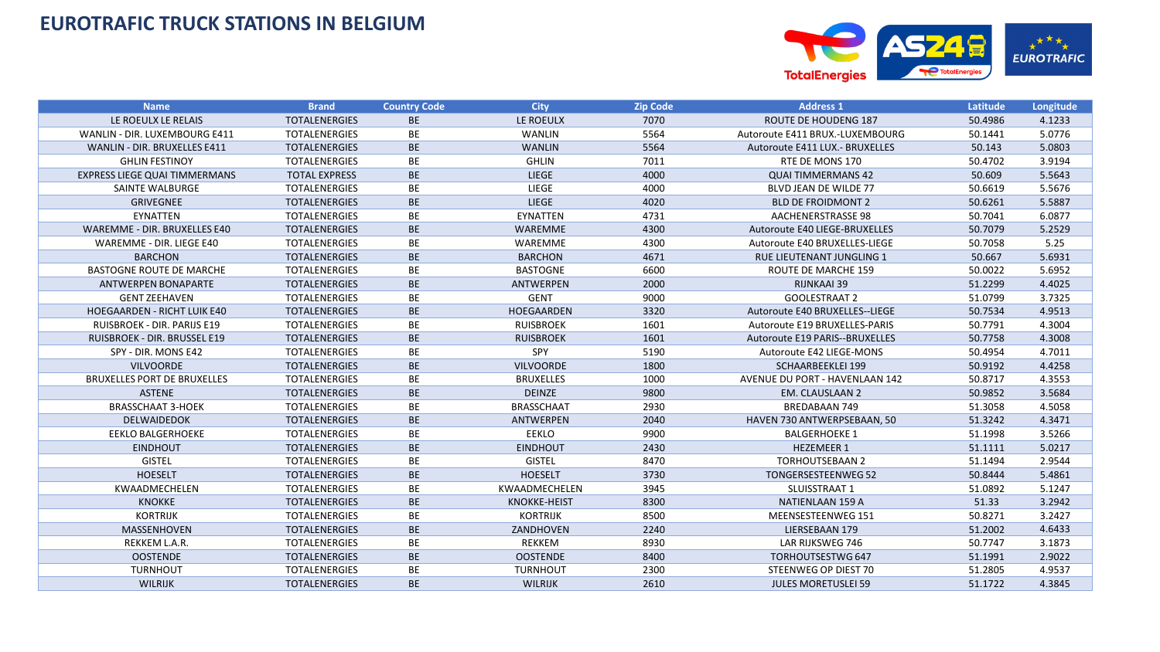

| <b>Name</b>                        | <b>Brand</b>         | <b>Country Code</b> | <b>City</b>         | <b>Zip Code</b> | <b>Address 1</b>                | Latitude | Longitude |
|------------------------------------|----------------------|---------------------|---------------------|-----------------|---------------------------------|----------|-----------|
| LE ROEULX LE RELAIS                | <b>TOTALENERGIES</b> | <b>BE</b>           | LE ROEULX           | 7070            | ROUTE DE HOUDENG 187            | 50.4986  | 4.1233    |
| WANLIN - DIR. LUXEMBOURG E411      | <b>TOTALENERGIES</b> | <b>BE</b>           | <b>WANLIN</b>       | 5564            | Autoroute E411 BRUX.-LUXEMBOURG | 50.1441  | 5.0776    |
| WANLIN - DIR. BRUXELLES E411       | <b>TOTALENERGIES</b> | <b>BE</b>           | <b>WANLIN</b>       | 5564            | Autoroute E411 LUX.- BRUXELLES  | 50.143   | 5.0803    |
| <b>GHLIN FESTINOY</b>              | <b>TOTALENERGIES</b> | <b>BE</b>           | <b>GHLIN</b>        | 7011            | RTE DE MONS 170                 | 50.4702  | 3.9194    |
| EXPRESS LIEGE QUAI TIMMERMANS      | <b>TOTAL EXPRESS</b> | <b>BE</b>           | <b>LIEGE</b>        | 4000            | <b>QUAI TIMMERMANS 42</b>       | 50.609   | 5.5643    |
| SAINTE WALBURGE                    | <b>TOTALENERGIES</b> | <b>BE</b>           | LIEGE               | 4000            | BLVD JEAN DE WILDE 77           | 50.6619  | 5.5676    |
| <b>GRIVEGNEE</b>                   | <b>TOTALENERGIES</b> | BE                  | <b>LIEGE</b>        | 4020            | <b>BLD DE FROIDMONT 2</b>       | 50.6261  | 5.5887    |
| EYNATTEN                           | <b>TOTALENERGIES</b> | BE                  | EYNATTEN            | 4731            | AACHENERSTRASSE 98              | 50.7041  | 6.0877    |
| WAREMME - DIR. BRUXELLES E40       | <b>TOTALENERGIES</b> | BE                  | WAREMME             | 4300            | Autoroute E40 LIEGE-BRUXELLES   | 50.7079  | 5.2529    |
| WAREMME - DIR. LIEGE E40           | <b>TOTALENERGIES</b> | BE                  | WAREMME             | 4300            | Autoroute E40 BRUXELLES-LIEGE   | 50.7058  | 5.25      |
| <b>BARCHON</b>                     | <b>TOTALENERGIES</b> | <b>BE</b>           | <b>BARCHON</b>      | 4671            | RUE LIEUTENANT JUNGLING 1       | 50.667   | 5.6931    |
| <b>BASTOGNE ROUTE DE MARCHE</b>    | <b>TOTALENERGIES</b> | BE                  | <b>BASTOGNE</b>     | 6600            | ROUTE DE MARCHE 159             | 50.0022  | 5.6952    |
| <b>ANTWERPEN BONAPARTE</b>         | <b>TOTALENERGIES</b> | <b>BE</b>           | <b>ANTWERPEN</b>    | 2000            | <b>RIJNKAAI 39</b>              | 51.2299  | 4.4025    |
| <b>GENT ZEEHAVEN</b>               | <b>TOTALENERGIES</b> | <b>BE</b>           | <b>GENT</b>         | 9000            | <b>GOOLESTRAAT 2</b>            | 51.0799  | 3.7325    |
| <b>HOEGAARDEN - RICHT LUIK E40</b> | <b>TOTALENERGIES</b> | <b>BE</b>           | <b>HOEGAARDEN</b>   | 3320            | Autoroute E40 BRUXELLES--LIEGE  | 50.7534  | 4.9513    |
| RUISBROEK - DIR. PARIJS E19        | <b>TOTALENERGIES</b> | BE                  | <b>RUISBROEK</b>    | 1601            | Autoroute E19 BRUXELLES-PARIS   | 50.7791  | 4.3004    |
| RUISBROEK - DIR. BRUSSEL E19       | <b>TOTALENERGIES</b> | <b>BE</b>           | <b>RUISBROEK</b>    | 1601            | Autoroute E19 PARIS--BRUXELLES  | 50.7758  | 4.3008    |
| SPY - DIR. MONS E42                | <b>TOTALENERGIES</b> | BE                  | SPY                 | 5190            | Autoroute E42 LIEGE-MONS        | 50.4954  | 4.7011    |
| <b>VILVOORDE</b>                   | <b>TOTALENERGIES</b> | <b>BE</b>           | <b>VILVOORDE</b>    | 1800            | <b>SCHAARBEEKLEI 199</b>        | 50.9192  | 4.4258    |
| <b>BRUXELLES PORT DE BRUXELLES</b> | <b>TOTALENERGIES</b> | BE                  | <b>BRUXELLES</b>    | 1000            | AVENUE DU PORT - HAVENLAAN 142  | 50.8717  | 4.3553    |
| <b>ASTENE</b>                      | <b>TOTALENERGIES</b> | <b>BE</b>           | <b>DEINZE</b>       | 9800            | EM. CLAUSLAAN 2                 | 50.9852  | 3.5684    |
| <b>BRASSCHAAT 3-HOEK</b>           | <b>TOTALENERGIES</b> | BE                  | <b>BRASSCHAAT</b>   | 2930            | BREDABAAN 749                   | 51.3058  | 4.5058    |
| DELWAIDEDOK                        | <b>TOTALENERGIES</b> | BE                  | ANTWERPEN           | 2040            | HAVEN 730 ANTWERPSEBAAN, 50     | 51.3242  | 4.3471    |
| <b>EEKLO BALGERHOEKE</b>           | <b>TOTALENERGIES</b> | BE                  | <b>EEKLO</b>        | 9900            | <b>BALGERHOEKE 1</b>            | 51.1998  | 3.5266    |
| <b>EINDHOUT</b>                    | <b>TOTALENERGIES</b> | <b>BE</b>           | <b>EINDHOUT</b>     | 2430            | <b>HEZEMEER 1</b>               | 51.1111  | 5.0217    |
| <b>GISTEL</b>                      | <b>TOTALENERGIES</b> | BE                  | <b>GISTEL</b>       | 8470            | <b>TORHOUTSEBAAN 2</b>          | 51.1494  | 2.9544    |
| <b>HOESELT</b>                     | <b>TOTALENERGIES</b> | <b>BE</b>           | <b>HOESELT</b>      | 3730            | <b>TONGERSESTEENWEG 52</b>      | 50.8444  | 5.4861    |
| KWAADMECHELEN                      | <b>TOTALENERGIES</b> | BE                  | KWAADMECHELEN       | 3945            | SLUISSTRAAT 1                   | 51.0892  | 5.1247    |
| <b>KNOKKE</b>                      | <b>TOTALENERGIES</b> | <b>BE</b>           | <b>KNOKKE-HEIST</b> | 8300            | NATIENLAAN 159 A                | 51.33    | 3.2942    |
| <b>KORTRIJK</b>                    | <b>TOTALENERGIES</b> | BE                  | <b>KORTRIJK</b>     | 8500            | MEENSESTEENWEG 151              | 50.8271  | 3.2427    |
| MASSENHOVEN                        | <b>TOTALENERGIES</b> | <b>BE</b>           | ZANDHOVEN           | 2240            | LIERSEBAAN 179                  | 51.2002  | 4.6433    |
| REKKEM L.A.R.                      | <b>TOTALENERGIES</b> | BE                  | REKKEM              | 8930            | LAR RIJKSWEG 746                | 50.7747  | 3.1873    |
| <b>OOSTENDE</b>                    | <b>TOTALENERGIES</b> | <b>BE</b>           | <b>OOSTENDE</b>     | 8400            | TORHOUTSESTWG 647               | 51.1991  | 2.9022    |
| <b>TURNHOUT</b>                    | <b>TOTALENERGIES</b> | BE                  | <b>TURNHOUT</b>     | 2300            | STEENWEG OP DIEST 70            | 51.2805  | 4.9537    |
| <b>WILRIJK</b>                     | <b>TOTALENERGIES</b> | BE                  | <b>WILRIJK</b>      | 2610            | <b>JULES MORETUSLEI 59</b>      | 51.1722  | 4.3845    |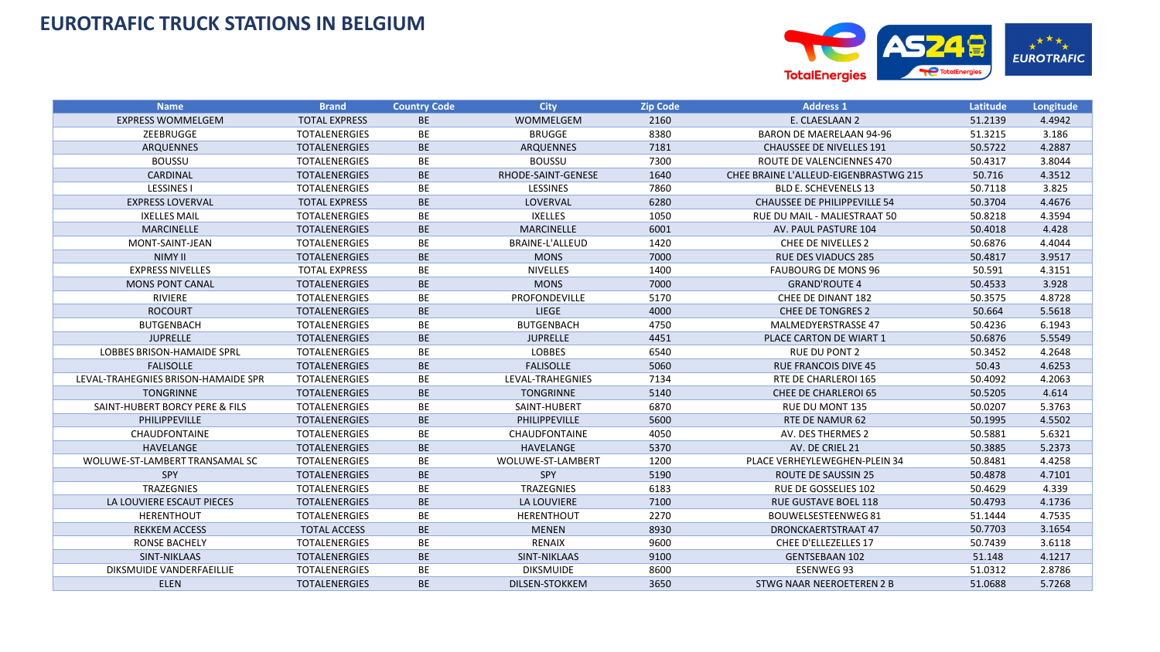

| <b>Name</b>                         | <b>Brand</b>         | <b>Country Code</b> | <b>City</b>           | <b>Zip Code</b> | <b>Address 1</b>                      | Latitude | Longitude |
|-------------------------------------|----------------------|---------------------|-----------------------|-----------------|---------------------------------------|----------|-----------|
| <b>EXPRESS WOMMELGEM</b>            | <b>TOTAL EXPRESS</b> | <b>BE</b>           | WOMMELGEM             | 2160            | E. CLAESLAAN 2                        | 51.2139  | 4.4942    |
| ZEEBRUGGE                           | <b>TOTALENERGIES</b> | BE                  | <b>BRUGGE</b>         | 8380            | <b>BARON DE MAERELAAN 94-96</b>       | 51.3215  | 3.186     |
| ARQUENNES                           | <b>TOTALENERGIES</b> | BE                  | <b>ARQUENNES</b>      | 7181            | <b>CHAUSSEE DE NIVELLES 191</b>       | 50.5722  | 4.2887    |
| <b>BOUSSU</b>                       | <b>TOTALENERGIES</b> | BE                  | <b>BOUSSU</b>         | 7300            | ROUTE DE VALENCIENNES 470             | 50.4317  | 3.8044    |
| <b>CARDINAL</b>                     | <b>TOTALENERGIES</b> | <b>BE</b>           | RHODE-SAINT-GENESE    | 1640            | CHEE BRAINE L'ALLEUD-EIGENBRASTWG 215 | 50.716   | 4.3512    |
| <b>LESSINES I</b>                   | <b>TOTALENERGIES</b> | BE                  | LESSINES              | 7860            | <b>BLD E. SCHEVENELS 13</b>           | 50.7118  | 3.825     |
| <b>EXPRESS LOVERVAL</b>             | <b>TOTAL EXPRESS</b> | BE                  | LOVERVAL              | 6280            | <b>CHAUSSEE DE PHILIPPEVILLE 54</b>   | 50.3704  | 4.4676    |
| <b>IXELLES MAIL</b>                 | <b>TOTALENERGIES</b> | BE                  | <b>IXELLES</b>        | 1050            | RUE DU MAIL - MALIESTRAAT 50          | 50.8218  | 4.3594    |
| <b>MARCINELLE</b>                   | <b>TOTALENERGIES</b> | BE                  | <b>MARCINELLE</b>     | 6001            | AV. PAUL PASTURE 104                  | 50.4018  | 4.428     |
| MONT-SAINT-JEAN                     | <b>TOTALENERGIES</b> | BE                  | BRAINE-L'ALLEUD       | 1420            | CHEE DE NIVELLES 2                    | 50.6876  | 4.4044    |
| <b>NIMY II</b>                      | <b>TOTALENERGIES</b> | BE                  | <b>MONS</b>           | 7000            | <b>RUE DES VIADUCS 285</b>            | 50.4817  | 3.9517    |
| <b>EXPRESS NIVELLES</b>             | <b>TOTAL EXPRESS</b> | BE                  | <b>NIVELLES</b>       | 1400            | <b>FAUBOURG DE MONS 96</b>            | 50.591   | 4.3151    |
| <b>MONS PONT CANAL</b>              | <b>TOTALENERGIES</b> | BE                  | <b>MONS</b>           | 7000            | <b>GRAND'ROUTE 4</b>                  | 50.4533  | 3.928     |
| RIVIERE                             | <b>TOTALENERGIES</b> | BE                  | PROFONDEVILLE         | 5170            | CHEE DE DINANT 182                    | 50.3575  | 4.8728    |
| <b>ROCOURT</b>                      | <b>TOTALENERGIES</b> | BE                  | LIEGE                 | 4000            | <b>CHEE DE TONGRES 2</b>              | 50.664   | 5.5618    |
| <b>BUTGENBACH</b>                   | <b>TOTALENERGIES</b> | BE                  | <b>BUTGENBACH</b>     | 4750            | MALMEDYERSTRASSE 47                   | 50.4236  | 6.1943    |
| <b>JUPRELLE</b>                     | <b>TOTALENERGIES</b> | <b>BE</b>           | <b>JUPRELLE</b>       | 4451            | PLACE CARTON DE WIART 1               | 50.6876  | 5.5549    |
| <b>LOBBES BRISON-HAMAIDE SPRL</b>   | <b>TOTALENERGIES</b> | BE                  | <b>LOBBES</b>         | 6540            | <b>RUE DU PONT 2</b>                  | 50.3452  | 4.2648    |
| <b>FALISOLLE</b>                    | <b>TOTALENERGIES</b> | BE                  | <b>FALISOLLE</b>      | 5060            | <b>RUE FRANCOIS DIVE 45</b>           | 50.43    | 4.6253    |
| LEVAL-TRAHEGNIES BRISON-HAMAIDE SPR | <b>TOTALENERGIES</b> | BE                  | LEVAL-TRAHEGNIES      | 7134            | RTE DE CHARLEROI 165                  | 50.4092  | 4.2063    |
| <b>TONGRINNE</b>                    | <b>TOTALENERGIES</b> | BE                  | <b>TONGRINNE</b>      | 5140            | <b>CHEE DE CHARLEROI 65</b>           | 50.5205  | 4.614     |
| SAINT-HUBERT BORCY PERE & FILS      | <b>TOTALENERGIES</b> | BE                  | SAINT-HUBERT          | 6870            | RUE DU MONT 135                       | 50.0207  | 5.3763    |
| <b>PHILIPPEVILLE</b>                | <b>TOTALENERGIES</b> | BE                  | PHILIPPEVILLE         | 5600            | RTE DE NAMUR 62                       | 50.1995  | 4.5502    |
| <b>CHAUDFONTAINE</b>                | <b>TOTALENERGIES</b> | BE                  | <b>CHAUDFONTAINE</b>  | 4050            | AV. DES THERMES 2                     | 50.5881  | 5.6321    |
| HAVELANGE                           | <b>TOTALENERGIES</b> | BE                  | HAVELANGE             | 5370            | AV. DE CRIEL 21                       | 50.3885  | 5.2373    |
| WOLUWE-ST-LAMBERT TRANSAMAL SC      | <b>TOTALENERGIES</b> | BE                  | WOLUWE-ST-LAMBERT     | 1200            | PLACE VERHEYLEWEGHEN-PLEIN 34         | 50.8481  | 4.4258    |
| SPY                                 | <b>TOTALENERGIES</b> | <b>BE</b>           | SPY                   | 5190            | <b>ROUTE DE SAUSSIN 25</b>            | 50.4878  | 4.7101    |
| TRAZEGNIES                          | <b>TOTALENERGIES</b> | BE                  | TRAZEGNIES            | 6183            | RUE DE GOSSELIES 102                  | 50.4629  | 4.339     |
| LA LOUVIERE ESCAUT PIECES           | <b>TOTALENERGIES</b> | <b>BE</b>           | <b>LA LOUVIERE</b>    | 7100            | <b>RUE GUSTAVE BOEL 118</b>           | 50.4793  | 4.1736    |
| HERENTHOUT                          | <b>TOTALENERGIES</b> | BE                  | <b>HERENTHOUT</b>     | 2270            | <b>BOUWELSESTEENWEG 81</b>            | 51.1444  | 4.7535    |
| <b>REKKEM ACCESS</b>                | <b>TOTAL ACCESS</b>  | BE                  | <b>MENEN</b>          | 8930            | <b>DRONCKAERTSTRAAT 47</b>            | 50.7703  | 3.1654    |
| <b>RONSE BACHELY</b>                | <b>TOTALENERGIES</b> | BE                  | RENAIX                | 9600            | CHEE D'ELLEZELLES 17                  | 50.7439  | 3.6118    |
| SINT-NIKLAAS                        | <b>TOTALENERGIES</b> | BE                  | SINT-NIKLAAS          | 9100            | <b>GENTSEBAAN 102</b>                 | 51.148   | 4.1217    |
| DIKSMUIDE VANDERFAEILLIE            | <b>TOTALENERGIES</b> | BE                  | <b>DIKSMUIDE</b>      | 8600            | ESENWEG 93                            | 51.0312  | 2.8786    |
| <b>ELEN</b>                         | <b>TOTALENERGIES</b> | BE                  | <b>DILSEN-STOKKEM</b> | 3650            | <b>STWG NAAR NEEROETEREN 2 B</b>      | 51.0688  | 5.7268    |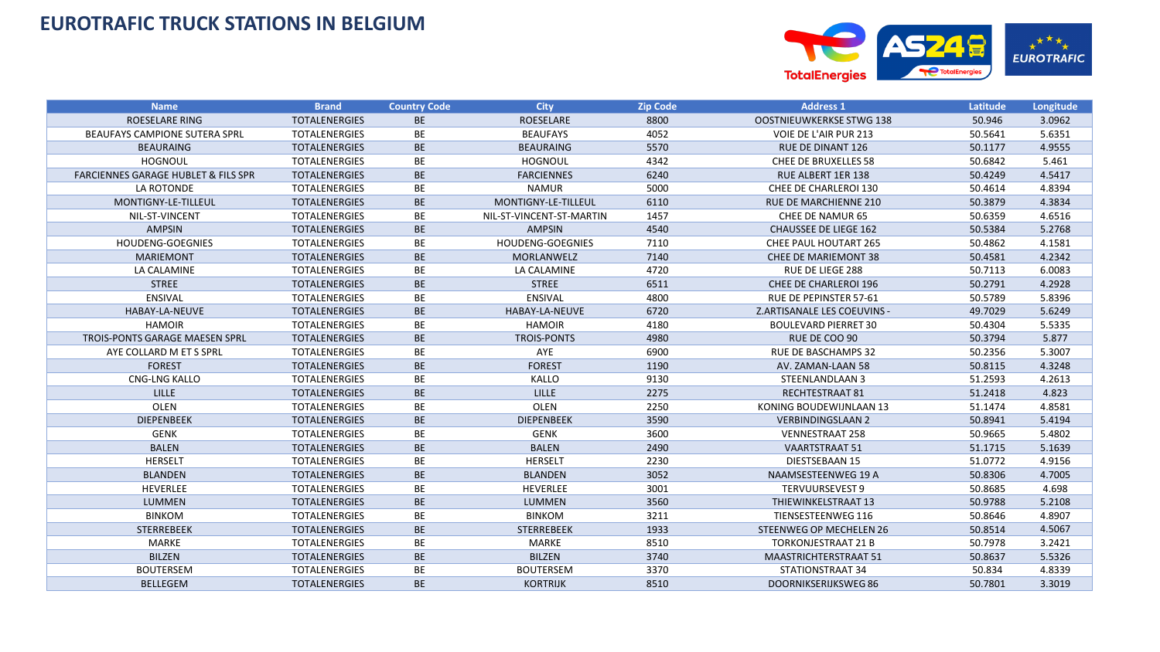

| <b>Name</b>                                    | <b>Brand</b>         | <b>Country Code</b> | <b>City</b>              | <b>Zip Code</b> | <b>Address 1</b>             | Latitude | Longitude |
|------------------------------------------------|----------------------|---------------------|--------------------------|-----------------|------------------------------|----------|-----------|
| <b>ROESELARE RING</b>                          | <b>TOTALENERGIES</b> | <b>BE</b>           | ROESELARE                | 8800            | OOSTNIEUWKERKSE STWG 138     | 50.946   | 3.0962    |
| <b>BEAUFAYS CAMPIONE SUTERA SPRL</b>           | <b>TOTALENERGIES</b> | BE                  | <b>BEAUFAYS</b>          | 4052            | VOIE DE L'AIR PUR 213        | 50.5641  | 5.6351    |
| <b>BEAURAING</b>                               | <b>TOTALENERGIES</b> | <b>BE</b>           | <b>BEAURAING</b>         | 5570            | <b>RUE DE DINANT 126</b>     | 50.1177  | 4.9555    |
| <b>HOGNOUL</b>                                 | <b>TOTALENERGIES</b> | BE                  | <b>HOGNOUL</b>           | 4342            | <b>CHEE DE BRUXELLES 58</b>  | 50.6842  | 5.461     |
| <b>FARCIENNES GARAGE HUBLET &amp; FILS SPR</b> | <b>TOTALENERGIES</b> | BE                  | <b>FARCIENNES</b>        | 6240            | RUE ALBERT 1ER 138           | 50.4249  | 4.5417    |
| LA ROTONDE                                     | <b>TOTALENERGIES</b> | BE                  | <b>NAMUR</b>             | 5000            | CHEE DE CHARLEROI 130        | 50.4614  | 4.8394    |
| MONTIGNY-LE-TILLEUL                            | <b>TOTALENERGIES</b> | <b>BE</b>           | MONTIGNY-LE-TILLEUL      | 6110            | <b>RUE DE MARCHIENNE 210</b> | 50.3879  | 4.3834    |
| NIL-ST-VINCENT                                 | <b>TOTALENERGIES</b> | BE                  | NIL-ST-VINCENT-ST-MARTIN | 1457            | <b>CHEE DE NAMUR 65</b>      | 50.6359  | 4.6516    |
| <b>AMPSIN</b>                                  | <b>TOTALENERGIES</b> | <b>BE</b>           | <b>AMPSIN</b>            | 4540            | <b>CHAUSSEE DE LIEGE 162</b> | 50.5384  | 5.2768    |
| <b>HOUDENG-GOEGNIES</b>                        | <b>TOTALENERGIES</b> | BE                  | HOUDENG-GOEGNIES         | 7110            | <b>CHEE PAUL HOUTART 265</b> | 50.4862  | 4.1581    |
| <b>MARIEMONT</b>                               | <b>TOTALENERGIES</b> | BE                  | MORLANWELZ               | 7140            | <b>CHEE DE MARIEMONT 38</b>  | 50.4581  | 4.2342    |
| LA CALAMINE                                    | <b>TOTALENERGIES</b> | BE                  | LA CALAMINE              | 4720            | RUE DE LIEGE 288             | 50.7113  | 6.0083    |
| <b>STREE</b>                                   | <b>TOTALENERGIES</b> | <b>BE</b>           | <b>STREE</b>             | 6511            | CHEE DE CHARLEROI 196        | 50.2791  | 4.2928    |
| <b>ENSIVAL</b>                                 | <b>TOTALENERGIES</b> | BE                  | <b>ENSIVAL</b>           | 4800            | RUE DE PEPINSTER 57-61       | 50.5789  | 5.8396    |
| HABAY-LA-NEUVE                                 | <b>TOTALENERGIES</b> | BE                  | HABAY-LA-NEUVE           | 6720            | Z.ARTISANALE LES COEUVINS -  | 49.7029  | 5.6249    |
| <b>HAMOIR</b>                                  | <b>TOTALENERGIES</b> | BE                  | <b>HAMOIR</b>            | 4180            | <b>BOULEVARD PIERRET 30</b>  | 50.4304  | 5.5335    |
| <b>TROIS-PONTS GARAGE MAESEN SPRL</b>          | <b>TOTALENERGIES</b> | <b>BE</b>           | <b>TROIS-PONTS</b>       | 4980            | RUE DE COO 90                | 50.3794  | 5.877     |
| AYE COLLARD M ET S SPRL                        | <b>TOTALENERGIES</b> | <b>BE</b>           | AYE                      | 6900            | <b>RUE DE BASCHAMPS 32</b>   | 50.2356  | 5.3007    |
| <b>FOREST</b>                                  | <b>TOTALENERGIES</b> | BE                  | <b>FOREST</b>            | 1190            | AV. ZAMAN-LAAN 58            | 50.8115  | 4.3248    |
| CNG-LNG KALLO                                  | <b>TOTALENERGIES</b> | BE                  | <b>KALLO</b>             | 9130            | STEENLANDLAAN 3              | 51.2593  | 4.2613    |
| LILLE                                          | <b>TOTALENERGIES</b> | BE                  | <b>LILLE</b>             | 2275            | RECHTESTRAAT 81              | 51.2418  | 4.823     |
| OLEN                                           | <b>TOTALENERGIES</b> | BE                  | OLEN                     | 2250            | KONING BOUDEWIJNLAAN 13      | 51.1474  | 4.8581    |
| <b>DIEPENBEEK</b>                              | <b>TOTALENERGIES</b> | BE                  | <b>DIEPENBEEK</b>        | 3590            | <b>VERBINDINGSLAAN 2</b>     | 50.8941  | 5.4194    |
| <b>GENK</b>                                    | <b>TOTALENERGIES</b> | BE                  | <b>GENK</b>              | 3600            | <b>VENNESTRAAT 258</b>       | 50.9665  | 5.4802    |
| <b>BALEN</b>                                   | <b>TOTALENERGIES</b> | BE                  | <b>BALEN</b>             | 2490            | VAARTSTRAAT 51               | 51.1715  | 5.1639    |
| HERSELT                                        | <b>TOTALENERGIES</b> | BE                  | HERSELT                  | 2230            | DIESTSEBAAN 15               | 51.0772  | 4.9156    |
| <b>BLANDEN</b>                                 | <b>TOTALENERGIES</b> | BE                  | <b>BLANDEN</b>           | 3052            | NAAMSESTEENWEG 19 A          | 50.8306  | 4.7005    |
| HEVERLEE                                       | <b>TOTALENERGIES</b> | BE                  | <b>HEVERLEE</b>          | 3001            | TERVUURSEVEST 9              | 50.8685  | 4.698     |
| <b>LUMMEN</b>                                  | <b>TOTALENERGIES</b> | <b>BE</b>           | <b>LUMMEN</b>            | 3560            | THIEWINKELSTRAAT 13          | 50.9788  | 5.2108    |
| <b>BINKOM</b>                                  | <b>TOTALENERGIES</b> | BE                  | <b>BINKOM</b>            | 3211            | <b>TIENSESTEENWEG 116</b>    | 50.8646  | 4.8907    |
| <b>STERREBEEK</b>                              | <b>TOTALENERGIES</b> | <b>BE</b>           | <b>STERREBEEK</b>        | 1933            | STEENWEG OP MECHELEN 26      | 50.8514  | 4.5067    |
| MARKE                                          | <b>TOTALENERGIES</b> | <b>BE</b>           | MARKE                    | 8510            | <b>TORKONJESTRAAT 21 B</b>   | 50.7978  | 3.2421    |
| <b>BILZEN</b>                                  | <b>TOTALENERGIES</b> | BE                  | <b>BILZEN</b>            | 3740            | <b>MAASTRICHTERSTRAAT 51</b> | 50.8637  | 5.5326    |
| <b>BOUTERSEM</b>                               | <b>TOTALENERGIES</b> | BE                  | <b>BOUTERSEM</b>         | 3370            | STATIONSTRAAT 34             | 50.834   | 4.8339    |
| <b>BELLEGEM</b>                                | <b>TOTALENERGIES</b> | <b>BE</b>           | <b>KORTRIJK</b>          | 8510            | <b>DOORNIKSERIJKSWEG86</b>   | 50.7801  | 3.3019    |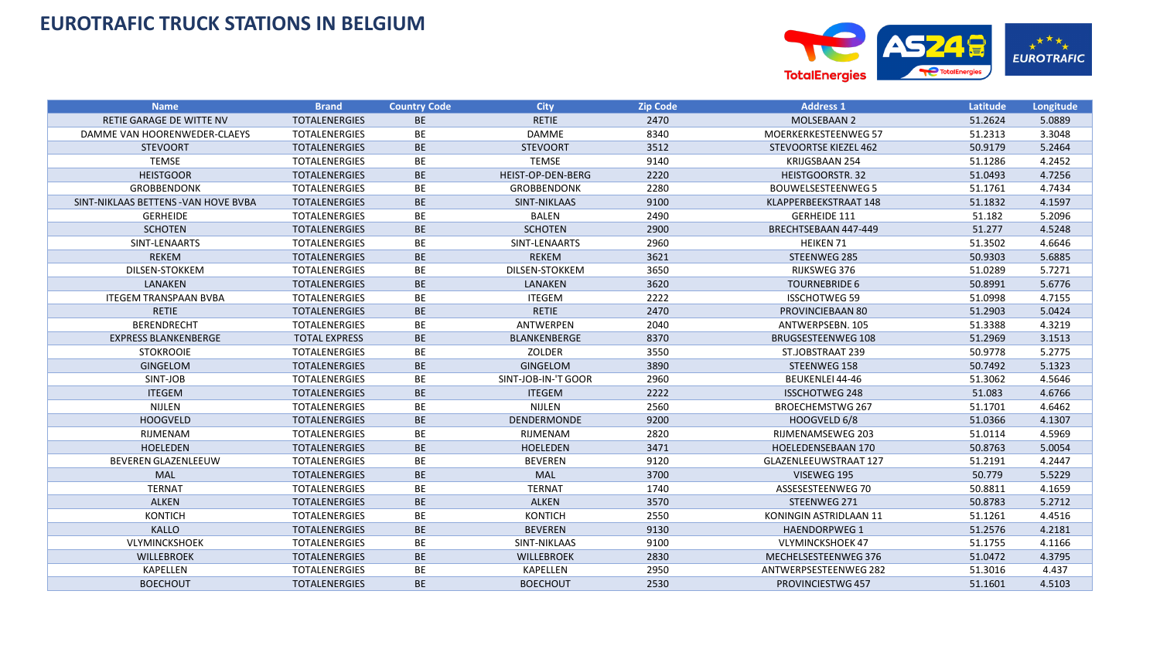

| <b>Name</b>                          | <b>Brand</b>         | <b>Country Code</b> | <b>City</b>         | <b>Zip Code</b> | <b>Address 1</b>            | Latitude | Longitude |
|--------------------------------------|----------------------|---------------------|---------------------|-----------------|-----------------------------|----------|-----------|
| RETIE GARAGE DE WITTE NV             | <b>TOTALENERGIES</b> | <b>BE</b>           | <b>RETIE</b>        | 2470            | <b>MOLSEBAAN 2</b>          | 51.2624  | 5.0889    |
| DAMME VAN HOORENWEDER-CLAEYS         | <b>TOTALENERGIES</b> | <b>BE</b>           | <b>DAMME</b>        | 8340            | <b>MOERKERKESTEENWEG 57</b> | 51.2313  | 3.3048    |
| <b>STEVOORT</b>                      | <b>TOTALENERGIES</b> | <b>BE</b>           | <b>STEVOORT</b>     | 3512            | STEVOORTSE KIEZEL 462       | 50.9179  | 5.2464    |
| TEMSE                                | <b>TOTALENERGIES</b> | BE                  | <b>TEMSE</b>        | 9140            | KRIJGSBAAN 254              | 51.1286  | 4.2452    |
| <b>HEISTGOOR</b>                     | <b>TOTALENERGIES</b> | <b>BE</b>           | HEIST-OP-DEN-BERG   | 2220            | HEISTGOORSTR. 32            | 51.0493  | 4.7256    |
| <b>GROBBENDONK</b>                   | <b>TOTALENERGIES</b> | BE                  | <b>GROBBENDONK</b>  | 2280            | <b>BOUWELSESTEENWEG 5</b>   | 51.1761  | 4.7434    |
| SINT-NIKLAAS BETTENS - VAN HOVE BVBA | <b>TOTALENERGIES</b> | BE                  | SINT-NIKLAAS        | 9100            | KLAPPERBEEKSTRAAT 148       | 51.1832  | 4.1597    |
| <b>GERHEIDE</b>                      | <b>TOTALENERGIES</b> | BE                  | <b>BALEN</b>        | 2490            | <b>GERHEIDE 111</b>         | 51.182   | 5.2096    |
| <b>SCHOTEN</b>                       | <b>TOTALENERGIES</b> | BE                  | <b>SCHOTEN</b>      | 2900            | BRECHTSEBAAN 447-449        | 51.277   | 4.5248    |
| SINT-LENAARTS                        | <b>TOTALENERGIES</b> | BE                  | SINT-LENAARTS       | 2960            | <b>HEIKEN 71</b>            | 51.3502  | 4.6646    |
| <b>REKEM</b>                         | <b>TOTALENERGIES</b> | <b>BE</b>           | <b>REKEM</b>        | 3621            | STEENWEG 285                | 50.9303  | 5.6885    |
| DILSEN-STOKKEM                       | <b>TOTALENERGIES</b> | BE                  | DILSEN-STOKKEM      | 3650            | RIJKSWEG 376                | 51.0289  | 5.7271    |
| LANAKEN                              | <b>TOTALENERGIES</b> | <b>BE</b>           | LANAKEN             | 3620            | <b>TOURNEBRIDE 6</b>        | 50.8991  | 5.6776    |
| <b>ITEGEM TRANSPAAN BVBA</b>         | <b>TOTALENERGIES</b> | BE                  | <b>ITEGEM</b>       | 2222            | <b>ISSCHOTWEG 59</b>        | 51.0998  | 4.7155    |
| <b>RETIE</b>                         | <b>TOTALENERGIES</b> | BE                  | <b>RETIE</b>        | 2470            | PROVINCIEBAAN 80            | 51.2903  | 5.0424    |
| <b>BERENDRECHT</b>                   | <b>TOTALENERGIES</b> | BE                  | ANTWERPEN           | 2040            | ANTWERPSEBN. 105            | 51.3388  | 4.3219    |
| <b>EXPRESS BLANKENBERGE</b>          | <b>TOTAL EXPRESS</b> | <b>BE</b>           | BLANKENBERGE        | 8370            | <b>BRUGSESTEENWEG 108</b>   | 51.2969  | 3.1513    |
| <b>STOKROOIE</b>                     | <b>TOTALENERGIES</b> | BE                  | ZOLDER              | 3550            | ST.JOBSTRAAT 239            | 50.9778  | 5.2775    |
| <b>GINGELOM</b>                      | <b>TOTALENERGIES</b> | BE                  | <b>GINGELOM</b>     | 3890            | STEENWEG 158                | 50.7492  | 5.1323    |
| SINT-JOB                             | <b>TOTALENERGIES</b> | BE                  | SINT-JOB-IN-'T GOOR | 2960            | <b>BEUKENLEI 44-46</b>      | 51.3062  | 4.5646    |
| <b>ITEGEM</b>                        | <b>TOTALENERGIES</b> | BE                  | <b>ITEGEM</b>       | 2222            | <b>ISSCHOTWEG 248</b>       | 51.083   | 4.6766    |
| NIJLEN                               | <b>TOTALENERGIES</b> | BE                  | NIJLEN              | 2560            | <b>BROECHEMSTWG 267</b>     | 51.1701  | 4.6462    |
| <b>HOOGVELD</b>                      | <b>TOTALENERGIES</b> | BE                  | DENDERMONDE         | 9200            | HOOGVELD 6/8                | 51.0366  | 4.1307    |
| RIJMENAM                             | <b>TOTALENERGIES</b> | BE                  | RIJMENAM            | 2820            | RIJMENAMSEWEG 203           | 51.0114  | 4.5969    |
| <b>HOELEDEN</b>                      | <b>TOTALENERGIES</b> | <b>BE</b>           | <b>HOELEDEN</b>     | 3471            | <b>HOELEDENSEBAAN 170</b>   | 50.8763  | 5.0054    |
| BEVEREN GLAZENLEEUW                  | <b>TOTALENERGIES</b> | BE                  | <b>BEVEREN</b>      | 9120            | GLAZENLEEUWSTRAAT 127       | 51.2191  | 4.2447    |
| <b>MAL</b>                           | <b>TOTALENERGIES</b> | BE                  | <b>MAL</b>          | 3700            | VISEWEG 195                 | 50.779   | 5.5229    |
| <b>TERNAT</b>                        | <b>TOTALENERGIES</b> | BE                  | <b>TERNAT</b>       | 1740            | ASSESESTEENWEG 70           | 50.8811  | 4.1659    |
| ALKEN                                | <b>TOTALENERGIES</b> | <b>BE</b>           | <b>ALKEN</b>        | 3570            | STEENWEG 271                | 50.8783  | 5.2712    |
| <b>KONTICH</b>                       | <b>TOTALENERGIES</b> | BE                  | <b>KONTICH</b>      | 2550            | KONINGIN ASTRIDLAAN 11      | 51.1261  | 4.4516    |
| KALLO                                | <b>TOTALENERGIES</b> | BE                  | <b>BEVEREN</b>      | 9130            | <b>HAENDORPWEG 1</b>        | 51.2576  | 4.2181    |
| VLYMINCKSHOEK                        | <b>TOTALENERGIES</b> | BE                  | SINT-NIKLAAS        | 9100            | <b>VLYMINCKSHOEK 47</b>     | 51.1755  | 4.1166    |
| <b>WILLEBROEK</b>                    | <b>TOTALENERGIES</b> | <b>BE</b>           | <b>WILLEBROEK</b>   | 2830            | MECHELSESTEENWEG 376        | 51.0472  | 4.3795    |
| <b>KAPELLEN</b>                      | <b>TOTALENERGIES</b> | BE                  | <b>KAPELLEN</b>     | 2950            | ANTWERPSESTEENWEG 282       | 51.3016  | 4.437     |
| <b>BOECHOUT</b>                      | <b>TOTALENERGIES</b> | BE                  | <b>BOECHOUT</b>     | 2530            | <b>PROVINCIESTWG 457</b>    | 51.1601  | 4.5103    |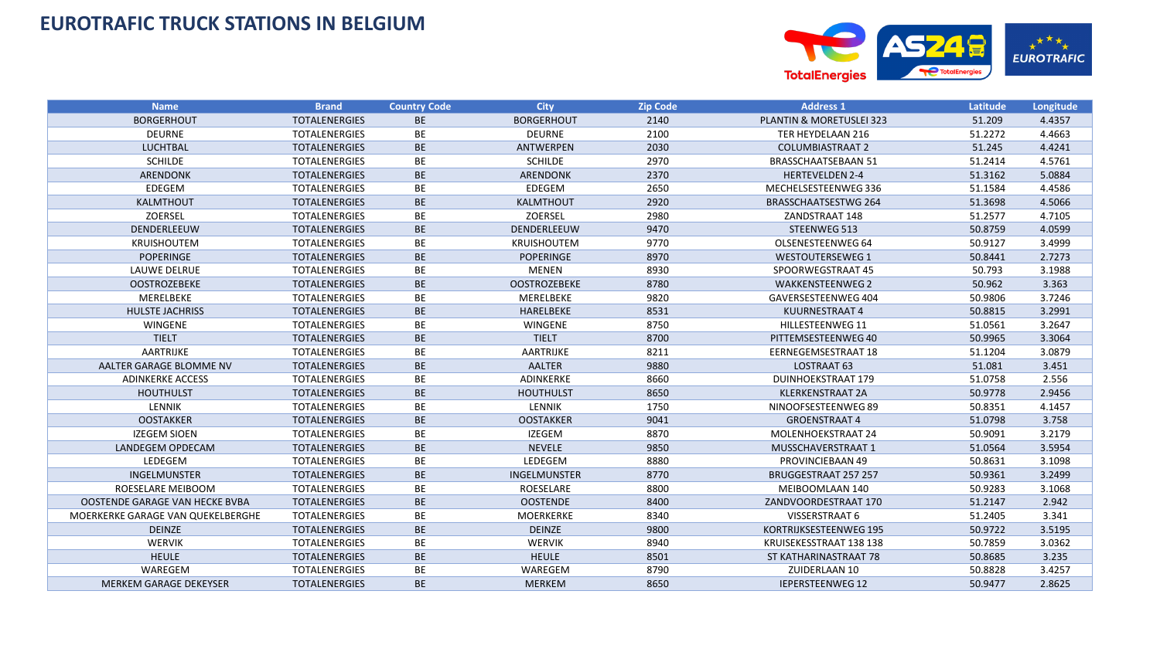

| <b>Name</b>                       | <b>Brand</b>         | <b>Country Code</b> | <b>City</b>         | <b>Zip Code</b> | <b>Address 1</b>           | Latitude | Longitude |
|-----------------------------------|----------------------|---------------------|---------------------|-----------------|----------------------------|----------|-----------|
| <b>BORGERHOUT</b>                 | <b>TOTALENERGIES</b> | <b>BE</b>           | <b>BORGERHOUT</b>   | 2140            | PLANTIN & MORETUSLEI 323   | 51.209   | 4.4357    |
| <b>DEURNE</b>                     | <b>TOTALENERGIES</b> | ВE                  | <b>DEURNE</b>       | 2100            | TER HEYDELAAN 216          | 51.2272  | 4.4663    |
| <b>LUCHTBAL</b>                   | <b>TOTALENERGIES</b> | BE                  | ANTWERPEN           | 2030            | <b>COLUMBIASTRAAT 2</b>    | 51.245   | 4.4241    |
| <b>SCHILDE</b>                    | <b>TOTALENERGIES</b> | ВE                  | <b>SCHILDE</b>      | 2970            | <b>BRASSCHAATSEBAAN 51</b> | 51.2414  | 4.5761    |
| <b>ARENDONK</b>                   | <b>TOTALENERGIES</b> | <b>BE</b>           | <b>ARENDONK</b>     | 2370            | <b>HERTEVELDEN 2-4</b>     | 51.3162  | 5.0884    |
| EDEGEM                            | <b>TOTALENERGIES</b> | BE                  | EDEGEM              | 2650            | MECHELSESTEENWEG 336       | 51.1584  | 4.4586    |
| KALMTHOUT                         | <b>TOTALENERGIES</b> | <b>BE</b>           | <b>KALMTHOUT</b>    | 2920            | BRASSCHAATSESTWG 264       | 51.3698  | 4.5066    |
| <b>ZOERSEL</b>                    | <b>TOTALENERGIES</b> | BE                  | <b>ZOERSEL</b>      | 2980            | ZANDSTRAAT 148             | 51.2577  | 4.7105    |
| DENDERLEEUW                       | <b>TOTALENERGIES</b> | <b>BE</b>           | DENDERLEEUW         | 9470            | STEENWEG 513               | 50.8759  | 4.0599    |
| <b>KRUISHOUTEM</b>                | <b>TOTALENERGIES</b> | BE                  | <b>KRUISHOUTEM</b>  | 9770            | OLSENESTEENWEG 64          | 50.9127  | 3.4999    |
| <b>POPERINGE</b>                  | <b>TOTALENERGIES</b> | <b>BE</b>           | <b>POPERINGE</b>    | 8970            | <b>WESTOUTERSEWEG 1</b>    | 50.8441  | 2.7273    |
| LAUWE DELRUE                      | <b>TOTALENERGIES</b> | ВE                  | MENEN               | 8930            | SPOORWEGSTRAAT 45          | 50.793   | 3.1988    |
| <b>OOSTROZEBEKE</b>               | <b>TOTALENERGIES</b> | BE                  | <b>OOSTROZEBEKE</b> | 8780            | <b>WAKKENSTEENWEG 2</b>    | 50.962   | 3.363     |
| MERELBEKE                         | <b>TOTALENERGIES</b> | BE                  | MERELBEKE           | 9820            | GAVERSESTEENWEG 404        | 50.9806  | 3.7246    |
| <b>HULSTE JACHRISS</b>            | <b>TOTALENERGIES</b> | <b>BE</b>           | HARELBEKE           | 8531            | KUURNESTRAAT 4             | 50.8815  | 3.2991    |
| WINGENE                           | <b>TOTALENERGIES</b> | ВE                  | WINGENE             | 8750            | <b>HILLESTEENWEG 11</b>    | 51.0561  | 3.2647    |
| <b>TIELT</b>                      | <b>TOTALENERGIES</b> | <b>BE</b>           | <b>TIELT</b>        | 8700            | PITTEMSESTEENWEG 40        | 50.9965  | 3.3064    |
| AARTRIJKE                         | <b>TOTALENERGIES</b> | ВE                  | AARTRIJKE           | 8211            | EERNEGEMSESTRAAT 18        | 51.1204  | 3.0879    |
| AALTER GARAGE BLOMME NV           | <b>TOTALENERGIES</b> | BE                  | AALTER              | 9880            | LOSTRAAT 63                | 51.081   | 3.451     |
| <b>ADINKERKE ACCESS</b>           | <b>TOTALENERGIES</b> | BE                  | ADINKERKE           | 8660            | <b>DUINHOEKSTRAAT 179</b>  | 51.0758  | 2.556     |
| <b>HOUTHULST</b>                  | <b>TOTALENERGIES</b> | BE                  | <b>HOUTHULST</b>    | 8650            | <b>KLERKENSTRAAT 2A</b>    | 50.9778  | 2.9456    |
| <b>LENNIK</b>                     | <b>TOTALENERGIES</b> | BE                  | LENNIK              | 1750            | NINOOFSESTEENWEG89         | 50.8351  | 4.1457    |
| <b>OOSTAKKER</b>                  | <b>TOTALENERGIES</b> | BE                  | <b>OOSTAKKER</b>    | 9041            | <b>GROENSTRAAT 4</b>       | 51.0798  | 3.758     |
| <b>IZEGEM SIOEN</b>               | <b>TOTALENERGIES</b> | BE                  | IZEGEM              | 8870            | MOLENHOEKSTRAAT 24         | 50.9091  | 3.2179    |
| LANDEGEM OPDECAM                  | <b>TOTALENERGIES</b> | BE                  | <b>NEVELE</b>       | 9850            | MUSSCHAVERSTRAAT 1         | 51.0564  | 3.5954    |
| LEDEGEM                           | <b>TOTALENERGIES</b> | <b>BE</b>           | LEDEGEM             | 8880            | PROVINCIEBAAN 49           | 50.8631  | 3.1098    |
| INGELMUNSTER                      | <b>TOTALENERGIES</b> | <b>BE</b>           | INGELMUNSTER        | 8770            | BRUGGESTRAAT 257 257       | 50.9361  | 3.2499    |
| ROESELARE MEIBOOM                 | <b>TOTALENERGIES</b> | ВE                  | <b>ROESELARE</b>    | 8800            | MEIBOOMLAAN 140            | 50.9283  | 3.1068    |
| OOSTENDE GARAGE VAN HECKE BVBA    | <b>TOTALENERGIES</b> | <b>BE</b>           | <b>OOSTENDE</b>     | 8400            | ZANDVOORDESTRAAT 170       | 51.2147  | 2.942     |
| MOERKERKE GARAGE VAN QUEKELBERGHE | <b>TOTALENERGIES</b> | BE                  | <b>MOERKERKE</b>    | 8340            | VISSERSTRAAT 6             | 51.2405  | 3.341     |
| <b>DEINZE</b>                     | <b>TOTALENERGIES</b> | <b>BE</b>           | <b>DEINZE</b>       | 9800            | KORTRIJKSESTEENWEG 195     | 50.9722  | 3.5195    |
| <b>WERVIK</b>                     | <b>TOTALENERGIES</b> | BE                  | <b>WERVIK</b>       | 8940            | KRUISEKESSTRAAT 138 138    | 50.7859  | 3.0362    |
| <b>HEULE</b>                      | <b>TOTALENERGIES</b> | <b>BE</b>           | <b>HEULE</b>        | 8501            | ST KATHARINASTRAAT 78      | 50.8685  | 3.235     |
| WAREGEM                           | <b>TOTALENERGIES</b> | BE                  | WAREGEM             | 8790            | ZUIDERLAAN 10              | 50.8828  | 3.4257    |
| <b>MERKEM GARAGE DEKEYSER</b>     | <b>TOTALENERGIES</b> | BE                  | <b>MERKEM</b>       | 8650            | <b>IEPERSTEENWEG 12</b>    | 50.9477  | 2.8625    |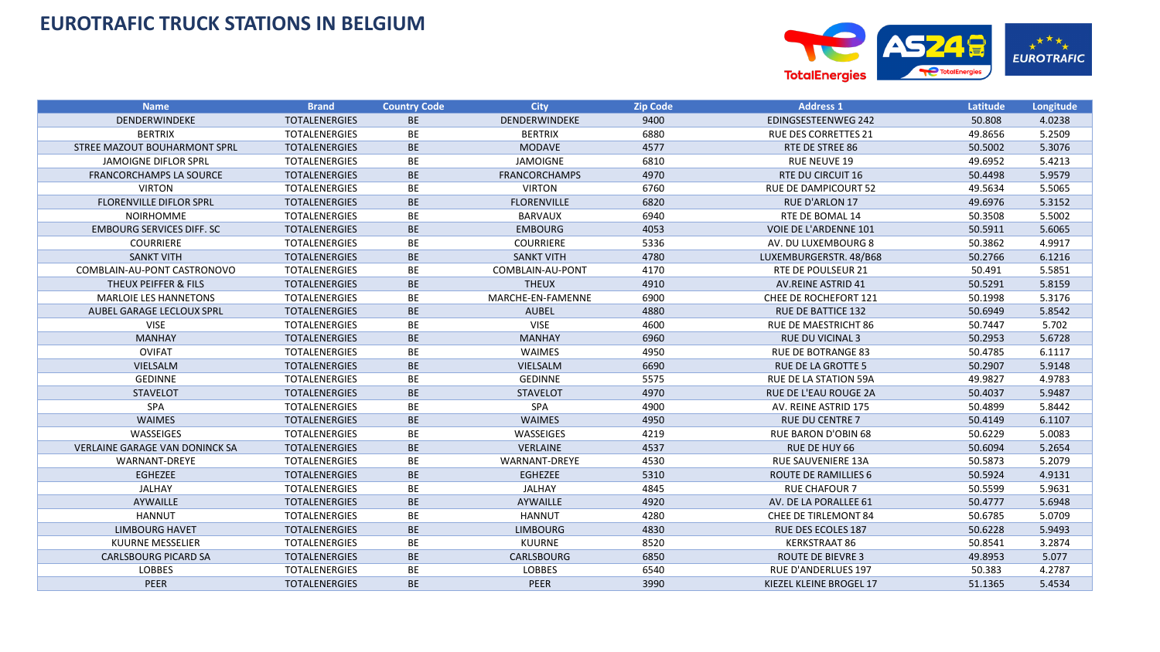

| <b>Name</b>                           | <b>Brand</b>         | <b>Country Code</b> | <b>City</b>          | <b>Zip Code</b> | <b>Address 1</b>             | Latitude | Longitude |
|---------------------------------------|----------------------|---------------------|----------------------|-----------------|------------------------------|----------|-----------|
| DENDERWINDEKE                         | <b>TOTALENERGIES</b> | <b>BE</b>           | DENDERWINDEKE        | 9400            | EDINGSESTEENWEG 242          | 50.808   | 4.0238    |
| <b>BERTRIX</b>                        | <b>TOTALENERGIES</b> | <b>BE</b>           | <b>BERTRIX</b>       | 6880            | <b>RUE DES CORRETTES 21</b>  | 49.8656  | 5.2509    |
| STREE MAZOUT BOUHARMONT SPRL          | <b>TOTALENERGIES</b> | BE                  | <b>MODAVE</b>        | 4577            | RTE DE STREE 86              | 50.5002  | 5.3076    |
| <b>JAMOIGNE DIFLOR SPRL</b>           | <b>TOTALENERGIES</b> | BE                  | <b>JAMOIGNE</b>      | 6810            | <b>RUE NEUVE 19</b>          | 49.6952  | 5.4213    |
| <b>FRANCORCHAMPS LA SOURCE</b>        | <b>TOTALENERGIES</b> | <b>BE</b>           | <b>FRANCORCHAMPS</b> | 4970            | RTE DU CIRCUIT 16            | 50.4498  | 5.9579    |
| <b>VIRTON</b>                         | <b>TOTALENERGIES</b> | BE                  | <b>VIRTON</b>        | 6760            | <b>RUE DE DAMPICOURT 52</b>  | 49.5634  | 5.5065    |
| <b>FLORENVILLE DIFLOR SPRL</b>        | <b>TOTALENERGIES</b> | BE                  | <b>FLORENVILLE</b>   | 6820            | <b>RUE D'ARLON 17</b>        | 49.6976  | 5.3152    |
| <b>NOIRHOMME</b>                      | <b>TOTALENERGIES</b> | BE                  | <b>BARVAUX</b>       | 6940            | RTE DE BOMAL 14              | 50.3508  | 5.5002    |
| <b>EMBOURG SERVICES DIFF. SC</b>      | <b>TOTALENERGIES</b> | BE                  | <b>EMBOURG</b>       | 4053            | VOIE DE L'ARDENNE 101        | 50.5911  | 5.6065    |
| <b>COURRIERE</b>                      | <b>TOTALENERGIES</b> | BE                  | <b>COURRIERE</b>     | 5336            | AV. DU LUXEMBOURG 8          | 50.3862  | 4.9917    |
| <b>SANKT VITH</b>                     | <b>TOTALENERGIES</b> | BE                  | <b>SANKT VITH</b>    | 4780            | LUXEMBURGERSTR. 48/B68       | 50.2766  | 6.1216    |
| COMBLAIN-AU-PONT CASTRONOVO           | <b>TOTALENERGIES</b> | BE                  | COMBLAIN-AU-PONT     | 4170            | RTE DE POULSEUR 21           | 50.491   | 5.5851    |
| THEUX PEIFFER & FILS                  | <b>TOTALENERGIES</b> | BE                  | <b>THEUX</b>         | 4910            | <b>AV.REINE ASTRID 41</b>    | 50.5291  | 5.8159    |
| <b>MARLOIE LES HANNETONS</b>          | <b>TOTALENERGIES</b> | BE                  | MARCHE-EN-FAMENNE    | 6900            | CHEE DE ROCHEFORT 121        | 50.1998  | 5.3176    |
| AUBEL GARAGE LECLOUX SPRL             | <b>TOTALENERGIES</b> | BE                  | <b>AUBEL</b>         | 4880            | <b>RUE DE BATTICE 132</b>    | 50.6949  | 5.8542    |
| <b>VISE</b>                           | <b>TOTALENERGIES</b> | BE                  | <b>VISE</b>          | 4600            | RUE DE MAESTRICHT 86         | 50.7447  | 5.702     |
| <b>MANHAY</b>                         | <b>TOTALENERGIES</b> | <b>BE</b>           | <b>MANHAY</b>        | 6960            | <b>RUE DU VICINAL 3</b>      | 50.2953  | 5.6728    |
| <b>OVIFAT</b>                         | <b>TOTALENERGIES</b> | BE                  | WAIMES               | 4950            | <b>RUE DE BOTRANGE 83</b>    | 50.4785  | 6.1117    |
| VIELSALM                              | <b>TOTALENERGIES</b> | BE                  | VIELSALM             | 6690            | <b>RUE DE LA GROTTE 5</b>    | 50.2907  | 5.9148    |
| <b>GEDINNE</b>                        | <b>TOTALENERGIES</b> | <b>BE</b>           | <b>GEDINNE</b>       | 5575            | <b>RUE DE LA STATION 59A</b> | 49.9827  | 4.9783    |
| <b>STAVELOT</b>                       | <b>TOTALENERGIES</b> | BE                  | <b>STAVELOT</b>      | 4970            | RUE DE L'EAU ROUGE 2A        | 50.4037  | 5.9487    |
| SPA                                   | <b>TOTALENERGIES</b> | BE                  | SPA                  | 4900            | AV. REINE ASTRID 175         | 50.4899  | 5.8442    |
| <b>WAIMES</b>                         | <b>TOTALENERGIES</b> | BE                  | <b>WAIMES</b>        | 4950            | <b>RUE DU CENTRE 7</b>       | 50.4149  | 6.1107    |
| WASSEIGES                             | <b>TOTALENERGIES</b> | BE                  | WASSEIGES            | 4219            | <b>RUE BARON D'OBIN 68</b>   | 50.6229  | 5.0083    |
| <b>VERLAINE GARAGE VAN DONINCK SA</b> | <b>TOTALENERGIES</b> | BE                  | VERLAINE             | 4537            | RUE DE HUY 66                | 50.6094  | 5.2654    |
| WARNANT-DREYE                         | <b>TOTALENERGIES</b> | BE                  | WARNANT-DREYE        | 4530            | <b>RUE SAUVENIERE 13A</b>    | 50.5873  | 5.2079    |
| <b>EGHEZEE</b>                        | <b>TOTALENERGIES</b> | <b>BE</b>           | <b>EGHEZEE</b>       | 5310            | <b>ROUTE DE RAMILLIES 6</b>  | 50.5924  | 4.9131    |
| JALHAY                                | <b>TOTALENERGIES</b> | BE                  | JALHAY               | 4845            | <b>RUE CHAFOUR 7</b>         | 50.5599  | 5.9631    |
| AYWAILLE                              | <b>TOTALENERGIES</b> | BE                  | AYWAILLE             | 4920            | AV. DE LA PORALLEE 61        | 50.4777  | 5.6948    |
| <b>HANNUT</b>                         | <b>TOTALENERGIES</b> | <b>BE</b>           | <b>HANNUT</b>        | 4280            | CHEE DE TIRLEMONT 84         | 50.6785  | 5.0709    |
| <b>LIMBOURG HAVET</b>                 | <b>TOTALENERGIES</b> | <b>BE</b>           | <b>LIMBOURG</b>      | 4830            | <b>RUE DES ECOLES 187</b>    | 50.6228  | 5.9493    |
| <b>KUURNE MESSELIER</b>               | <b>TOTALENERGIES</b> | BE                  | <b>KUURNE</b>        | 8520            | <b>KERKSTRAAT 86</b>         | 50.8541  | 3.2874    |
| <b>CARLSBOURG PICARD SA</b>           | <b>TOTALENERGIES</b> | BE                  | CARLSBOURG           | 6850            | <b>ROUTE DE BIEVRE 3</b>     | 49.8953  | 5.077     |
| <b>LOBBES</b>                         | <b>TOTALENERGIES</b> | BE                  | <b>LOBBES</b>        | 6540            | <b>RUE D'ANDERLUES 197</b>   | 50.383   | 4.2787    |
| <b>PEER</b>                           | <b>TOTALENERGIES</b> | BE                  | <b>PEER</b>          | 3990            | KIEZEL KLEINE BROGEL 17      | 51.1365  | 5.4534    |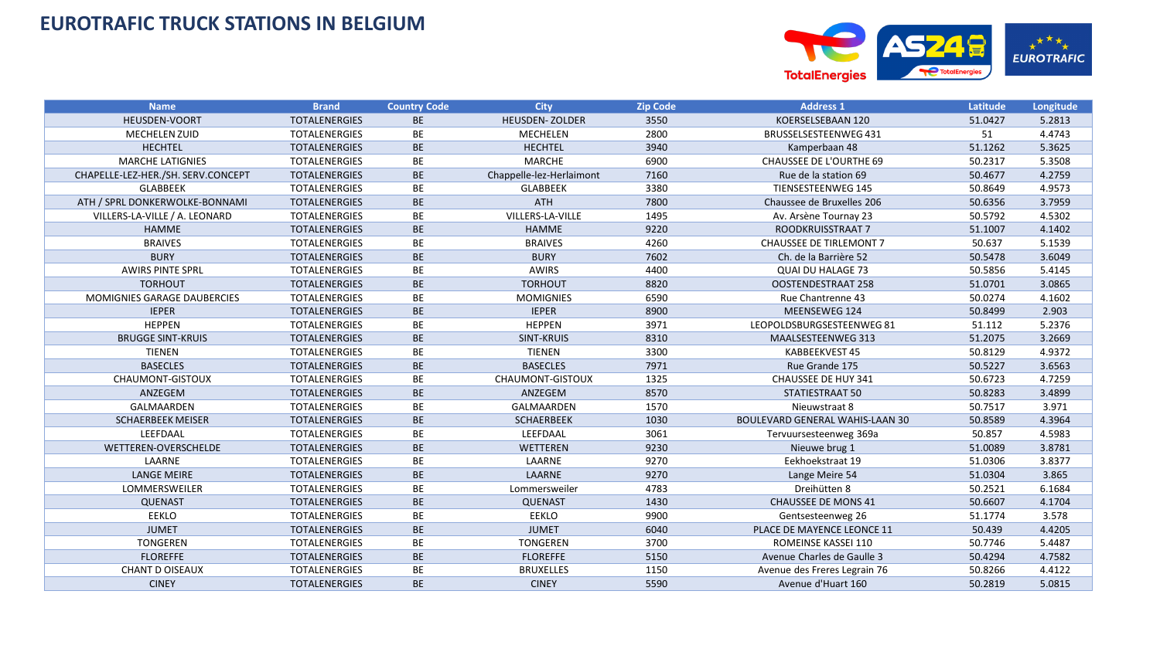

| <b>Name</b>                        | <b>Brand</b>         | <b>Country Code</b> | <b>City</b>              | <b>Zip Code</b> | <b>Address 1</b>                       | Latitude | Longitude |
|------------------------------------|----------------------|---------------------|--------------------------|-----------------|----------------------------------------|----------|-----------|
| <b>HEUSDEN-VOORT</b>               | <b>TOTALENERGIES</b> | <b>BE</b>           | <b>HEUSDEN-ZOLDER</b>    | 3550            | KOERSELSEBAAN 120                      | 51.0427  | 5.2813    |
| <b>MECHELEN ZUID</b>               | <b>TOTALENERGIES</b> | <b>BE</b>           | <b>MECHELEN</b>          | 2800            | <b>BRUSSELSESTEENWEG 431</b>           | 51       | 4.4743    |
| <b>HECHTEL</b>                     | <b>TOTALENERGIES</b> | BE                  | <b>HECHTEL</b>           | 3940            | Kamperbaan 48                          | 51.1262  | 5.3625    |
| <b>MARCHE LATIGNIES</b>            | <b>TOTALENERGIES</b> | BE                  | <b>MARCHE</b>            | 6900            | <b>CHAUSSEE DE L'OURTHE 69</b>         | 50.2317  | 5.3508    |
| CHAPELLE-LEZ-HER./SH. SERV.CONCEPT | <b>TOTALENERGIES</b> | <b>BE</b>           | Chappelle-lez-Herlaimont | 7160            | Rue de la station 69                   | 50.4677  | 4.2759    |
| <b>GLABBEEK</b>                    | <b>TOTALENERGIES</b> | BE                  | <b>GLABBEEK</b>          | 3380            | <b>TIENSESTEENWEG 145</b>              | 50.8649  | 4.9573    |
| ATH / SPRL DONKERWOLKE-BONNAMI     | <b>TOTALENERGIES</b> | <b>BE</b>           | ATH                      | 7800            | Chaussee de Bruxelles 206              | 50.6356  | 3.7959    |
| VILLERS-LA-VILLE / A. LEONARD      | <b>TOTALENERGIES</b> | BE                  | VILLERS-LA-VILLE         | 1495            | Av. Arsène Tournay 23                  | 50.5792  | 4.5302    |
| <b>HAMME</b>                       | <b>TOTALENERGIES</b> | <b>BE</b>           | <b>HAMME</b>             | 9220            | ROODKRUISSTRAAT 7                      | 51.1007  | 4.1402    |
| <b>BRAIVES</b>                     | <b>TOTALENERGIES</b> | BE                  | <b>BRAIVES</b>           | 4260            | <b>CHAUSSEE DE TIRLEMONT 7</b>         | 50.637   | 5.1539    |
| <b>BURY</b>                        | <b>TOTALENERGIES</b> | BE                  | <b>BURY</b>              | 7602            | Ch. de la Barrière 52                  | 50.5478  | 3.6049    |
| <b>AWIRS PINTE SPRL</b>            | <b>TOTALENERGIES</b> | BE                  | <b>AWIRS</b>             | 4400            | <b>QUAI DU HALAGE 73</b>               | 50.5856  | 5.4145    |
| <b>TORHOUT</b>                     | <b>TOTALENERGIES</b> | <b>BE</b>           | <b>TORHOUT</b>           | 8820            | OOSTENDESTRAAT 258                     | 51.0701  | 3.0865    |
| <b>MOMIGNIES GARAGE DAUBERCIES</b> | <b>TOTALENERGIES</b> | BE                  | <b>MOMIGNIES</b>         | 6590            | Rue Chantrenne 43                      | 50.0274  | 4.1602    |
| <b>IEPER</b>                       | <b>TOTALENERGIES</b> | <b>BE</b>           | <b>IEPER</b>             | 8900            | MEENSEWEG 124                          | 50.8499  | 2.903     |
| <b>HEPPEN</b>                      | <b>TOTALENERGIES</b> | BE                  | <b>HEPPEN</b>            | 3971            | LEOPOLDSBURGSESTEENWEG 81              | 51.112   | 5.2376    |
| <b>BRUGGE SINT-KRUIS</b>           | <b>TOTALENERGIES</b> | <b>BE</b>           | SINT-KRUIS               | 8310            | MAALSESTEENWEG 313                     | 51.2075  | 3.2669    |
| <b>TIENEN</b>                      | <b>TOTALENERGIES</b> | <b>BE</b>           | <b>TIENEN</b>            | 3300            | KABBEEKVEST 45                         | 50.8129  | 4.9372    |
| <b>BASECLES</b>                    | <b>TOTALENERGIES</b> | <b>BE</b>           | <b>BASECLES</b>          | 7971            | Rue Grande 175                         | 50.5227  | 3.6563    |
| CHAUMONT-GISTOUX                   | <b>TOTALENERGIES</b> | BE                  | CHAUMONT-GISTOUX         | 1325            | CHAUSSEE DE HUY 341                    | 50.6723  | 4.7259    |
| ANZEGEM                            | <b>TOTALENERGIES</b> | BE                  | ANZEGEM                  | 8570            | STATIESTRAAT 50                        | 50.8283  | 3.4899    |
| GALMAARDEN                         | <b>TOTALENERGIES</b> | BE                  | GALMAARDEN               | 1570            | Nieuwstraat 8                          | 50.7517  | 3.971     |
| <b>SCHAERBEEK MEISER</b>           | <b>TOTALENERGIES</b> | BE                  | <b>SCHAERBEEK</b>        | 1030            | <b>BOULEVARD GENERAL WAHIS-LAAN 30</b> | 50.8589  | 4.3964    |
| LEEFDAAL                           | <b>TOTALENERGIES</b> | BE                  | LEEFDAAL                 | 3061            | Tervuursesteenweg 369a                 | 50.857   | 4.5983    |
| WETTEREN-OVERSCHELDE               | <b>TOTALENERGIES</b> | BE                  | <b>WETTEREN</b>          | 9230            | Nieuwe brug 1                          | 51.0089  | 3.8781    |
| LAARNE                             | <b>TOTALENERGIES</b> | BE                  | LAARNE                   | 9270            | Eekhoekstraat 19                       | 51.0306  | 3.8377    |
| <b>LANGE MEIRE</b>                 | <b>TOTALENERGIES</b> | <b>BE</b>           | LAARNE                   | 9270            | Lange Meire 54                         | 51.0304  | 3.865     |
| LOMMERSWEILER                      | <b>TOTALENERGIES</b> | BE                  | Lommersweiler            | 4783            | Dreihütten 8                           | 50.2521  | 6.1684    |
| <b>QUENAST</b>                     | <b>TOTALENERGIES</b> | <b>BE</b>           | <b>QUENAST</b>           | 1430            | <b>CHAUSSEE DE MONS 41</b>             | 50.6607  | 4.1704    |
| <b>EEKLO</b>                       | <b>TOTALENERGIES</b> | BE                  | <b>EEKLO</b>             | 9900            | Gentsesteenweg 26                      | 51.1774  | 3.578     |
| <b>JUMET</b>                       | <b>TOTALENERGIES</b> | <b>BE</b>           | <b>JUMET</b>             | 6040            | PLACE DE MAYENCE LEONCE 11             | 50.439   | 4.4205    |
| <b>TONGEREN</b>                    | <b>TOTALENERGIES</b> | BE                  | <b>TONGEREN</b>          | 3700            | ROMEINSE KASSEI 110                    | 50.7746  | 5.4487    |
| <b>FLOREFFE</b>                    | <b>TOTALENERGIES</b> | <b>BE</b>           | <b>FLOREFFE</b>          | 5150            | Avenue Charles de Gaulle 3             | 50.4294  | 4.7582    |
| <b>CHANT D OISEAUX</b>             | <b>TOTALENERGIES</b> | BE                  | <b>BRUXELLES</b>         | 1150            | Avenue des Freres Legrain 76           | 50.8266  | 4.4122    |
| <b>CINEY</b>                       | <b>TOTALENERGIES</b> | BE                  | <b>CINEY</b>             | 5590            | Avenue d'Huart 160                     | 50.2819  | 5.0815    |